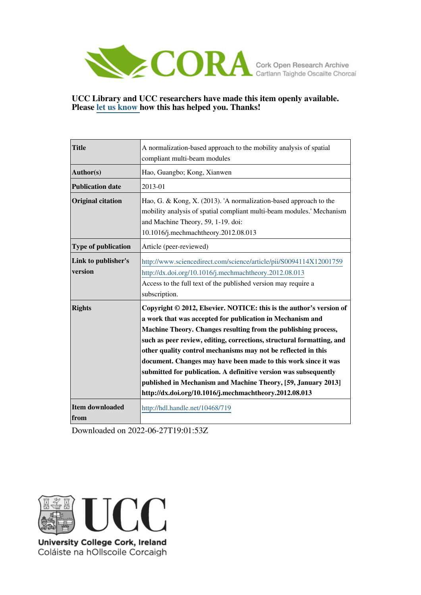

# **UCC Library and UCC researchers have made this item openly available. Please [let us know h](https://libguides.ucc.ie/openaccess/impact?suffix=719&title=A normalization-based approach to the mobility analysis of spatial compliant multi-beam modules)ow this has helped you. Thanks!**

| <b>Title</b>                   | A normalization-based approach to the mobility analysis of spatial<br>compliant multi-beam modules                                                                                                                                                                                                                                                                                                                                                                                                                                                                                                            |
|--------------------------------|---------------------------------------------------------------------------------------------------------------------------------------------------------------------------------------------------------------------------------------------------------------------------------------------------------------------------------------------------------------------------------------------------------------------------------------------------------------------------------------------------------------------------------------------------------------------------------------------------------------|
| Author(s)                      | Hao, Guangbo; Kong, Xianwen                                                                                                                                                                                                                                                                                                                                                                                                                                                                                                                                                                                   |
| <b>Publication date</b>        | 2013-01                                                                                                                                                                                                                                                                                                                                                                                                                                                                                                                                                                                                       |
| <b>Original citation</b>       | Hao, G. & Kong, X. (2013). 'A normalization-based approach to the<br>mobility analysis of spatial compliant multi-beam modules.' Mechanism<br>and Machine Theory, 59, 1-19. doi:<br>10.1016/j.mechmachtheory.2012.08.013                                                                                                                                                                                                                                                                                                                                                                                      |
| <b>Type of publication</b>     | Article (peer-reviewed)                                                                                                                                                                                                                                                                                                                                                                                                                                                                                                                                                                                       |
| Link to publisher's<br>version | http://www.sciencedirect.com/science/article/pii/S0094114X12001759<br>http://dx.doi.org/10.1016/j.mechmachtheory.2012.08.013<br>Access to the full text of the published version may require a<br>subscription.                                                                                                                                                                                                                                                                                                                                                                                               |
| <b>Rights</b>                  | Copyright © 2012, Elsevier. NOTICE: this is the author's version of<br>a work that was accepted for publication in Mechanism and<br>Machine Theory. Changes resulting from the publishing process,<br>such as peer review, editing, corrections, structural formatting, and<br>other quality control mechanisms may not be reflected in this<br>document. Changes may have been made to this work since it was<br>submitted for publication. A definitive version was subsequently<br>published in Mechanism and Machine Theory, [59, January 2013]<br>http://dx.doi.org/10.1016/j.mechmachtheory.2012.08.013 |
| Item downloaded<br>from        | http://hdl.handle.net/10468/719                                                                                                                                                                                                                                                                                                                                                                                                                                                                                                                                                                               |

Downloaded on 2022-06-27T19:01:53Z



University College Cork, Ireland Coláiste na hOllscoile Corcaigh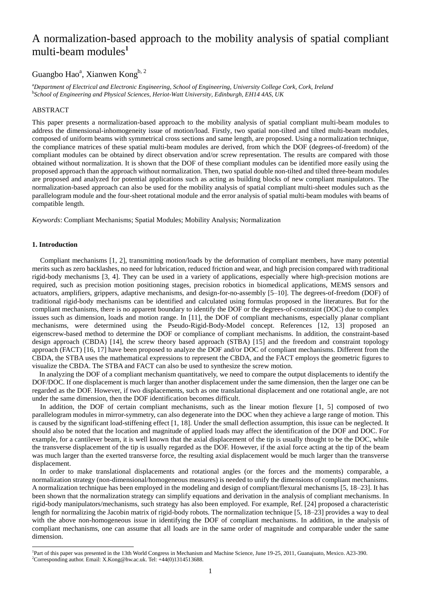# A normalization-based approach to the mobility analysis of spatial compliant multi-beam modules**<sup>1</sup>**

# Guangbo Hao<sup>a</sup>, Xianwen Kong<sup>b, 2</sup>

<sup>a</sup>*Department of Electrical and Electronic Engineering, School of Engineering, University College Cork, Cork, Ireland* b *School of Engineering and Physical Sciences, Heriot-Watt University, Edinburgh, EH14 4AS, UK*

## ABSTRACT

This paper presents a normalization-based approach to the mobility analysis of spatial compliant multi-beam modules to address the dimensional-inhomogeneity issue of motion/load. Firstly, two spatial non-tilted and tilted multi-beam modules, composed of uniform beams with symmetrical cross sections and same length, are proposed. Using a normalization technique, the compliance matrices of these spatial multi-beam modules are derived, from which the DOF (degrees-of-freedom) of the compliant modules can be obtained by direct observation and/or screw representation. The results are compared with those obtained without normalization. It is shown that the DOF of these compliant modules can be identified more easily using the proposed approach than the approach without normalization. Then, two spatial double non-tilted and tilted three-beam modules are proposed and analyzed for potential applications such as acting as building blocks of new compliant manipulators. The normalization-based approach can also be used for the mobility analysis of spatial compliant multi-sheet modules such as the parallelogram module and the four-sheet rotational module and the error analysis of spatial multi-beam modules with beams of compatible length.

*Keywords*: Compliant Mechanisms; Spatial Modules; Mobility Analysis; Normalization

## **1. Introduction**

1

Compliant mechanisms [1, 2], transmitting motion/loads by the deformation of compliant members, have many potential merits such as zero backlashes, no need for lubrication, reduced friction and wear, and high precision compared with traditional rigid-body mechanisms [3, 4]. They can be used in a variety of applications, especially where high-precision motions are required, such as precision motion positioning stages, precision robotics in biomedical applications, MEMS sensors and actuators, amplifiers, grippers, adaptive mechanisms, and design-for-no-assembly [5–10]. The degrees-of-freedom (DOF) of traditional rigid-body mechanisms can be identified and calculated using formulas proposed in the literatures. But for the compliant mechanisms, there is no apparent boundary to identify the DOF or the degrees-of-constraint (DOC) due to complex issues such as dimension, loads and motion range. In [11], the DOF of compliant mechanisms, especially planar compliant mechanisms, were determined using the Pseudo-Rigid-Body-Model concept. References [12, 13] proposed an eigenscrew-based method to determine the DOF or compliance of compliant mechanisms. In addition, the constraint-based design approach (CBDA) [14], the screw theory based approach (STBA) [15] and the freedom and constraint topology approach (FACT) [16, 17] have been proposed to analyze the DOF and/or DOC of compliant mechanisms. Different from the CBDA, the STBA uses the mathematical expressions to represent the CBDA, and the FACT employs the geometric figures to visualize the CBDA. The STBA and FACT can also be used to synthesize the screw motion.

 In analyzing the DOF of a compliant mechanism quantitatively, we need to compare the output displacements to identify the DOF/DOC. If one displacement is much larger than another displacement under the same dimension, then the larger one can be regarded as the DOF. However, if two displacements, such as one translational displacement and one rotational angle, are not under the same dimension, then the DOF identification becomes difficult.

In addition, the DOF of certain compliant mechanisms, such as the linear motion flexure [1, 5] composed of two parallelogram modules in mirror-symmetry, can also degenerate into the DOC when they achieve a large range of motion. This is caused by the significant load-stiffening effect [1, 18]. Under the small deflection assumption, this issue can be neglected. It should also be noted that the location and magnitude of applied loads may affect the identification of the DOF and DOC. For example, for a cantilever beam, it is well known that the axial displacement of the tip is usually thought to be the DOC, while the transverse displacement of the tip is usually regarded as the DOF. However, if the axial force acting at the tip of the beam was much larger than the exerted transverse force, the resulting axial displacement would be much larger than the transverse displacement.

In order to make translational displacements and rotational angles (or the forces and the moments) comparable, a normalization strategy (non-dimensional/homogeneous measures) is needed to unify the dimensions of compliant mechanisms. A normalization technique has been employed in the modeling and design of compliant/flexural mechanisms [5, 18–23]. It has been shown that the normalization strategy can simplify equations and derivation in the analysis of compliant mechanisms. In rigid-body manipulators/mechanisms, such strategy has also been employed. For example, Ref. [24] proposed a characteristic length for normalizing the Jacobin matrix of rigid-body robots. The normalization technique [5, 18–23] provides a way to deal with the above non-homogeneous issue in identifying the DOF of compliant mechanisms. In addition, in the analysis of compliant mechanisms, one can assume that all loads are in the same order of magnitude and comparable under the same dimension.

<sup>&</sup>lt;sup>1</sup>Part of this paper was presented in the 13th World Congress in Mechanism and Machine Science, June 19-25, 2011, Guanajuato, Mexico. A23-390. <sup>2</sup>Corresponding author. Email[: X.Kong@hw.ac.uk.](mailto:X.Kong@hw.ac.uk) Tel: +44(0)1314513688.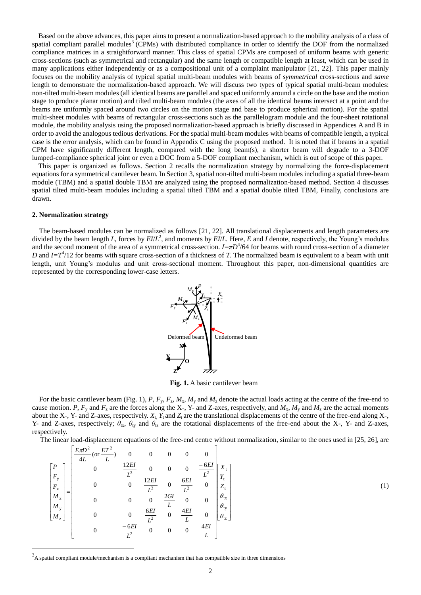Based on the above advances, this paper aims to present a normalization-based approach to the mobility analysis of a class of spatial compliant parallel modules<sup>3</sup> (CPMs) with distributed compliance in order to identify the DOF from the normalized compliance matrices in a straightforward manner. This class of spatial CPMs are composed of uniform beams with generic cross-sections (such as symmetrical and rectangular) and the same length or compatible length at least, which can be used in many applications either independently or as a compositional unit of a complaint manipulator [21, 22]. This paper mainly focuses on the mobility analysis of typical spatial multi-beam modules with beams of *symmetrical* cross-sections and *same* length to demonstrate the normalization-based approach. We will discuss two types of typical spatial multi-beam modules: non-tilted multi-beam modules (all identical beams are parallel and spaced uniformly around a circle on the base and the motion stage to produce planar motion) and tilted multi-beam modules (the axes of all the identical beams intersect at a point and the beams are uniformly spaced around two circles on the motion stage and base to produce spherical motion). For the spatial multi-sheet modules with beams of rectangular cross-sections such as the parallelogram module and the four-sheet rotational module, the mobility analysis using the proposed normalization-based approach is briefly discussed in Appendices A and B in order to avoid the analogous tedious derivations. For the spatial multi-beam modules with beams of compatible length, a typical case is the error analysis, which can be found in Appendix C using the proposed method. It is noted that if beams in a spatial CPM have significantly different length, compared with the long beam(s), a shorter beam will degrade to a 3-DOF lumped-compliance spherical joint or even a DOC from a 5-DOF compliant mechanism, which is out of scope of this paper.

This paper is organized as follows. Section 2 recalls the normalization strategy by normalizing the force-displacement equations for a symmetrical cantilever beam. In Section 3, spatial non-tilted multi-beam modules including a spatial three-beam module (TBM) and a spatial double TBM are analyzed using the proposed normalization-based method. Section 4 discusses spatial tilted multi-beam modules including a spatial tilted TBM and a spatial double tilted TBM, Finally, conclusions are drawn.

### **2. Normalization strategy**

-

 The beam-based modules can be normalized as follows [21, 22]. All translational displacements and length parameters are divided by the beam length *L*, forces by *EI*/*L* 2 , and moments by *EI*/*L.* Here, *E* and *I* denote, respectively, the Young's modulus and the second moment of the area of a symmetrical cross-section.  $I = \pi D^4/64$  for beams with round cross-section of a diameter *D* and  $I = T<sup>4</sup>/12$  for beams with square cross-section of a thickness of *T*. The normalized beam is equivalent to a beam with unit length, unit Young's modulus and unit cross-sectional moment. Throughout this paper, non-dimensional quantities are represented by the corresponding lower-case letters.



**Fig. 1.** A basic cantilever beam

For the basic cantilever beam (Fig. 1),  $P$ ,  $F_y$ ,  $F_z$ ,  $M_x$ ,  $M_y$  and  $M_z$  denote the actual loads acting at the centre of the free-end to cause motion. *P*,  $F_y$  and  $F_z$  are the forces along the X-, Y- and Z-axes, respectively, and  $M_x$ ,  $M_y$  and  $M_z$  are the actual moments about the X-, Y- and Z-axes, respectively.  $X_t$ ,  $Y_t$  and  $Z_t$  are the translational displacements of the centre of the free-end along X-, Y- and Z-axes, respectively;  $\theta_{tx}$ ,  $\theta_{ty}$  and  $\theta_{tz}$  are the rotational displacements of the free-end about the X-, Y- and Z-axes, respectively.

The linear load-displacement equations of the free-end centre without normalization, similar to the ones used in [25, 26], are

$$
\begin{bmatrix}\nP \\
P \\
F_y \\
F_z \\
M_x \\
M_y \\
M_z\n\end{bmatrix} = \begin{bmatrix}\nP \\
0 & \frac{12EI}{L^3} & 0 & 0 & 0 & 0 \\
0 & 0 & \frac{12EI}{L^3} & 0 & \frac{6EI}{L^2} \\
0 & 0 & 0 & \frac{2GI}{L^3} & 0 & \frac{6EI}{L^2} \\
0 & 0 & 0 & \frac{2GI}{L} & 0 & 0 \\
0 & 0 & 0 & \frac{2GI}{L} & 0 & 0 \\
0 & 0 & \frac{6EI}{L^2} & 0 & \frac{4EI}{L} & 0 \\
0 & -6EI & 0 & 0 & 0 & \frac{4EI}{L}\n\end{bmatrix}\n\begin{bmatrix}\nX_t \\
Y_t \\
Z_t \\
Z_t \\
\theta_{tx} \\
\theta_{tx}\n\end{bmatrix}
$$
\n(1)

 $3<sup>3</sup>$ A spatial compliant module/mechanism is a compliant mechanism that has compatible size in three dimensions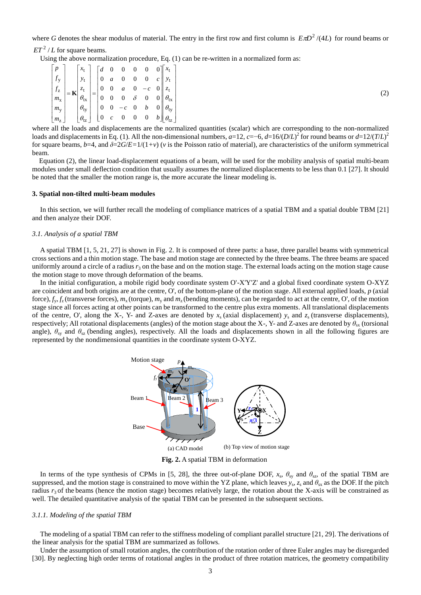where G denotes the shear modulus of material. The entry in the first row and first column is  $E\pi D^2/(4L)$  for round beams or  $ET^2$  / *L* for square beams.

Using the above normalization procedure, Eq. (1) can be re-written in a normalized form as:

|  |  |  |  |  | $\begin{bmatrix} p \\ f_y \\ f_z \\ m_x \\ m_y \\ m_z \end{bmatrix} = \mathbf{K} \begin{bmatrix} x_t \\ y_t \\ z_t \\ \theta_{tx} \\ \theta_{ty} \\ \theta_{ty} \\ \theta_{tz} \end{bmatrix} = \begin{bmatrix} d & 0 & 0 & 0 & 0 & 0 \\ 0 & a & 0 & 0 & 0 & c \\ 0 & 0 & a & 0 & -c & 0 \\ 0 & 0 & 0 & \delta & 0 & 0 \\ 0 & 0 & -c & 0 & b & 0 \\ 0 & c & 0 & 0 & 0 & b \end{bmatrix} \begin{bmatrix} x_t \\ y_t \\ e_{tx} \\ \theta_{ty} \\ \theta_{ty}$ |
|--|--|--|--|--|------------------------------------------------------------------------------------------------------------------------------------------------------------------------------------------------------------------------------------------------------------------------------------------------------------------------------------------------------------------------------------------------------------------------------------------------------------|

where all the loads and displacements are the normalized quantities (scalar) which are corresponding to the non-normalized loads and displacements in Eq. (1). All the non-dimensional numbers, *a*=12, *c*=−6, *d*=16/(*D*/*L*) 2 for round beams or *d*=12/(*T*/*L*) 2 for square beams,  $b=4$ , and  $\delta=2G/E=1/(1+\nu)$  ( $\nu$  is the Poisson ratio of material), are characteristics of the uniform symmetrical beam.

Equation (2), the linear load-displacement equations of a beam, will be used for the mobility analysis of spatial multi-beam modules under small deflection condition that usually assumes the normalized displacements to be less than 0.1 [27]. It should be noted that the smaller the motion range is, the more accurate the linear modeling is.

#### **3. Spatial non-tilted multi-beam modules**

In this section, we will further recall the modeling of compliance matrices of a spatial TBM and a spatial double TBM [21] and then analyze their DOF.

#### *3.1. Analysis of a spatial TBM*

A spatial TBM [1, 5, 21, 27] is shown in Fig. 2. It is composed of three parts: a base, three parallel beams with symmetrical cross sections and a thin motion stage. The base and motion stage are connected by the three beams. The three beams are spaced uniformly around a circle of a radius  $r<sub>3</sub>$  on the base and on the motion stage. The external loads acting on the motion stage cause the motion stage to move through deformation of the beams.

In the initial configuration, a mobile rigid body coordinate system O'-X'Y'Z' and a global fixed coordinate system O-XYZ are coincident and both origins are at the centre, O', of the bottom-plane of the motion stage. All external applied loads, *p* (axial force),  $f_v$ ,  $f_z$  (transverse forces),  $m_x$  (torque),  $m_y$  and  $m_z$  (bending moments), can be regarded to act at the centre, O', of the motion stage since all forces acting at other points can be transformed to the centre plus extra moments. All translational displacements of the centre, O', along the X-, Y- and Z-axes are denoted by  $x_s$  (axial displacement)  $y_s$  and  $z_s$  (transverse displacements), respectively; All rotational displacements (angles) of the motion stage about the X-, Y- and Z-axes are denoted by *θ*sx (torsional angle),  $\theta_{sv}$  and  $\theta_{sz}$  (bending angles), respectively. All the loads and displacements shown in all the following figures are represented by the nondimensional quantities in the coordinate system O-XYZ.



**Fig. 2.** A spatial TBM in deformation

In terms of the type synthesis of CPMs in [5, 28], the three out-of-plane DOF,  $x_s$ ,  $\theta_{sy}$  and  $\theta_{sz}$ , of the spatial TBM are suppressed, and the motion stage is constrained to move within the YZ plane, which leaves  $y_s$ ,  $z_s$  and  $\theta_{sx}$  as the DOF. If the pitch radius  $r_3$  of the beams (hence the motion stage) becomes relatively large, the rotation about the X-axis will be constrained as well. The detailed quantitative analysis of the spatial TBM can be presented in the subsequent sections.

## *3.1.1. Modeling of the spatial TBM*

The modeling of a spatial TBM can refer to the stiffness modeling of compliant parallel structure [21, 29]. The derivations of the linear analysis for the spatial TBM are summarized as follows.

Under the assumption of small rotation angles, the contribution of the rotation order of three Euler angles may be disregarded [30]. By neglecting high order terms of rotational angles in the product of three rotation matrices, the geometry compatibility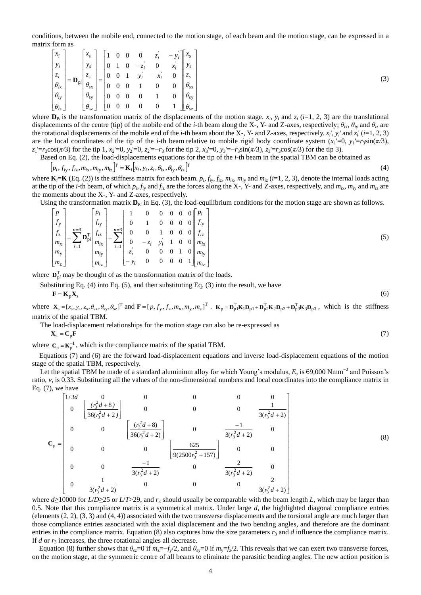conditions, between the mobile end, connected to the motion stage, of each beam and the motion stage, can be expressed in a matrix form as

$$
\begin{bmatrix} x_i \\ y_i \\ z_i \\ \theta_{ix} \\ \theta_{iy} \\ \theta_{iz} \end{bmatrix} = \mathbf{D}_{pi} \begin{bmatrix} x_s \\ y_s \\ z_s \\ \theta_{sx} \\ \theta_{sy} \\ \theta_{sy} \\ \theta_{gz} \end{bmatrix} = \begin{bmatrix} 1 & 0 & 0 & 0 & z_i & -y_i \\ 0 & 1 & 0 & -z_i & 0 & x_i \\ 0 & 0 & 1 & y_i & -x_i & 0 \\ 0 & 0 & 1 & y_i & -x_i & 0 \\ 0 & 0 & 0 & 1 & 0 & 0 \\ 0 & 0 & 0 & 0 & 1 & 0 \\ 0 & 0 & 0 & 0 & 0 & 1 \end{bmatrix} \begin{bmatrix} x_s \\ y_s \\ z_s \\ \theta_{sx} \\ \theta_{sy} \\ \theta_{sy} \\ \theta_{sz} \end{bmatrix}
$$
(3)

where  $\mathbf{D}_{\text{P}i}$  is the transformation matrix of the displacements of the motion stage.  $x_i$ ,  $y_i$  and  $z_i$  (*i*=1, 2, 3) are the translational displacements of the centre (tip) of the mobile end of the *i*-th beam along the X-, Y- and Z-axes, respectively;  $\theta_{ix}$ ,  $\theta_{iy}$  and  $\theta_{iz}$  are the rotational displacements of the mobile end of the *i-*th beam about the X-, Y- and Z-axes, respectively. *x<sup>i</sup>* ', *y<sup>i</sup>* ' and *z<sup>i</sup>* ' (*i*=1, 2, 3) are the local coordinates of the tip of the *i*-th beam relative to mobile rigid body coordinate system  $(x_1 = 0, y_1 = r_3 \sin(\pi/3))$ , *z*1'=*r*3cos(*π/*3) for the tip 1, *x*2'=0, *y*2'=0, *z*2'=−*r*<sup>3</sup> for the tip 2, *x*3'=0, *y*3'=−*r*3sin(*π/*3), *z*3'=*r*3cos(*π/*3) for the tip 3).

Based on Eq. (2), the load-displacements equations for the tip of the *i*-th beam in the spatial TBM can be obtained as

$$
[p_i, f_{iy}, f_{iz}, m_{ix}, m_{iy}, m_{iz}]^{\mathbb{T}} = \mathbf{K}_i[x_i, y_i, z_i, \theta_{ix}, \theta_{iy}, \theta_{iz}]^{\mathbb{T}}
$$
\n(4)

where  $\mathbf{K}_i = \mathbf{K}$  (Eq. (2)) is the stiffness matrix for each beam.  $p_i$ ,  $f_{iy}$ ,  $f_{iz}$ ,  $m_{ix}$ ,  $m_{iy}$  and  $m_{iz}$  (i=1, 2, 3), denote the internal loads acting at the tip of the *i*-th beam, of which  $p_i$ ,  $f_{iy}$  and  $f_{iz}$  are the forces along the X-, Y- and Z-axes, respectively, and  $m_{ix}$ ,  $m_{iy}$  and  $m_{iz}$  are the moments about the X-, Y- and Z-axes, respectively.

Using the transformation matrix  $D_{P_i}$  in Eq. (3), the load-equilibrium conditions for the motion stage are shown as follows.

$$
\begin{bmatrix} p \\ f_y \\ f_z \\ m_x \\ m_y \\ m_y \\ m_z \end{bmatrix} = \sum_{i=1}^{n=3} \mathbf{D}_{pi}^{\mathrm{T}} \begin{bmatrix} p_i \\ f_{iy} \\ f_{iz} \\ m_{ix} \\ m_{iy} \\ m_{iy} \\ m_{iz} \end{bmatrix} = \sum_{i=1}^{n=3} \begin{bmatrix} 1 & 0 & 0 & 0 & 0 & 0 \\ 0 & 1 & 0 & 0 & 0 & 0 \\ 0 & 0 & 1 & 0 & 0 & 0 \\ 0 & -z_i & y_i & 1 & 0 & 0 \\ z_i & 0 & 0 & 0 & 1 & 0 \\ -y_i & 0 & 0 & 0 & 0 & 1 \end{bmatrix} \begin{bmatrix} p_i \\ f_{iy} \\ f_{iz} \\ m_{iz} \\ m_{iy} \\ m_{iz} \end{bmatrix}
$$
(5)

where  $\mathbf{D}_{pi}^{T}$  may be thought of as the transformation matrix of the loads.

Substituting Eq. (4) into Eq. (5), and then substituting Eq. (3) into the result, we have

 $\mathbf{F} = \mathbf{K}_p \mathbf{X}_s$  $(6)$ 

where  $\mathbf{X}_s = [x_s, y_s, z_s, \theta_{sx}, \theta_{sy}, \theta_{sz}]^T$  and  $\mathbf{F} = [p, f_y, f_z, m_x, m_y, m_z]^T$ .  $\mathbf{K}_p = \mathbf{D}_{p1}^T \mathbf{K}_1 \mathbf{D}_{p1} + \mathbf{D}_{p2}^T \mathbf{K}_2 \mathbf{D}_{p2} + \mathbf{D}_{p3}^T \mathbf{K}_3 \mathbf{D}_{p3}$ , which is the stiffness matrix of the spatial TBM.

The load-displacement relationships for the motion stage can also be re-expressed as

$$
\mathbf{X}_{\mathrm{s}} = \mathbf{C}_{\mathrm{p}} \mathbf{F} \tag{7}
$$

where  $C_p = K_p^{-1}$ , which is the compliance matrix of the spatial TBM.

 Equations (7) and (6) are the forward load-displacement equations and inverse load-displacement equations of the motion stage of the spatial TBM, respectively.

Let the spatial TBM be made of a standard aluminium alloy for which Young's modulus,  $E$ , is 69,000 Nmm<sup>-2</sup> and Poisson's ratio, *v*, is 0.33. Substituting all the values of the non-dimensional numbers and local coordinates into the compliance matrix in Eq. (7), we have<br>  $\begin{bmatrix} 1/3d & 0 & 0 & 0 & 0 \\ 0 & \left[ \frac{r^2d+8}{2(2r^2+1)} \right] & 0 & 0 & 0 & \frac{1}{2(2$ Eq. (7), we have

$$
\mathbf{C}_{p} = \begin{bmatrix}\n1/3d & 0 & 0 & 0 & 0 & 0 \\
0 & \left[\frac{(r_{3}^{2}d + 8)}{36(r_{3}^{2}d + 2)}\right] & 0 & 0 & 0 & \frac{1}{3(r_{3}^{2}d + 2)} \\
0 & 0 & \left[\frac{(r_{3}^{2}d + 8)}{36(r_{3}^{2}d + 2)}\right] & 0 & \frac{-1}{3(r_{3}^{2}d + 2)} & 0 \\
0 & 0 & 0 & \left[\frac{625}{9(2500r_{3}^{2} + 157)}\right] & 0 & 0 \\
0 & 0 & \frac{-1}{3(r_{3}^{2}d + 2)} & 0 & \frac{2}{3(r_{3}^{2}d + 2)} & 0 \\
0 & \frac{1}{3(r_{3}^{2}d + 2)} & 0 & 0 & \frac{2}{3(r_{3}^{2}d + 2)} & \frac{2}{3(r_{3}^{2}d + 2)}\n\end{bmatrix}
$$

(8)

where  $d\geq 10000$  for  $L/D\geq 25$  or  $L/T>29$ , and  $r_3$  should usually be comparable with the beam length *L*, which may be larger than 0.5. Note that this compliance matrix is a symmetrical matrix. Under large *d*, the highlighted diagonal compliance entries (elements (2, 2), (3, 3) and (4, 4)) associated with the two transverse displacements and the torsional angle are much larger than those compliance entries associated with the axial displacement and the two bending angles, and therefore are the dominant entries in the compliance matrix. Equation (8) also captures how the size parameters  $r_3$  and  $d$  influence the compliance matrix. If  $d$  or  $r_3$  increases, the three rotational angles all decrease.

Equation (8) further shows that  $\theta_{sz} = 0$  if  $m_z = -f_y/2$ , and  $\theta_{sy} = 0$  if  $m_y = f_z/2$ . This reveals that we can exert two transverse forces, on the motion stage, at the symmetric centre of all beams to eliminate the parasitic bending angles. The new action position is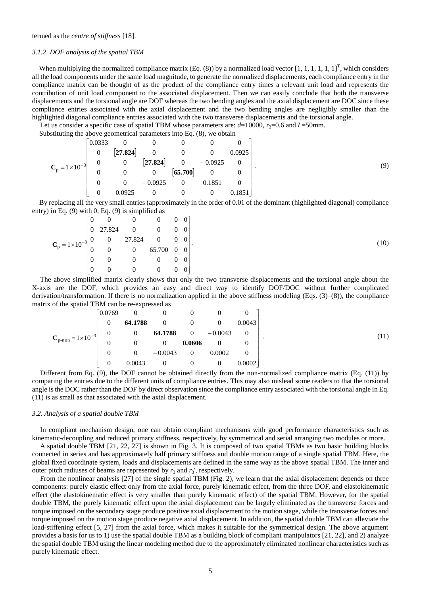termed as the *centre of stiffness* [18].

## *3.1.2. DOF analysis of the spatial TBM*

When multiplying the normalized compliance matrix (Eq. (8)) by a normalized load vector [1, 1, 1, 1, 1, 1]<sup>T</sup>, which considers all the load components under the same load magnitude, to generate the normalized displacements, each compliance entry in the compliance matrix can be thought of as the product of the compliance entry times a relevant unit load and represents the contribution of unit load component to the associated displacement. Then we can easily conclude that both the transverse displacements and the torsional angle are DOF whereas the two bending angles and the axial displacement are DOC since these compliance entries associated with the axial displacement and the two bending angles are negligibly smaller than the highlighted diagonal compliance entries associated with the two transverse displacements and the torsional angle.

Let us consider a specific case of spatial TBM whose parameters are:  $d=10000$ ,  $r_3=0.6$  and  $L=50$ mm.

Substituting the above geometrical parameters into Eq. (8), we obtain

|                          | 0.0333           | $\overline{\mathbf{0}}$ | $\overline{0}$ | $\mathbf{0}$   | $\theta$                                                                                                   |                |
|--------------------------|------------------|-------------------------|----------------|----------------|------------------------------------------------------------------------------------------------------------|----------------|
|                          | $\overline{0}$   | $\left[27.824\right]$   | $\overline{0}$ | $\overline{0}$ | $\bf{0}$                                                                                                   | 0.0925         |
| $C_p = 1 \times 10^{-3}$ | $\boldsymbol{0}$ | $\boldsymbol{0}$        |                |                | $\begin{bmatrix} 27.824 \\ 0 \\ 65.700 \end{bmatrix}$ $\begin{bmatrix} 0 & -0.0925 \\ 0 & 0 \end{bmatrix}$ | $\overline{0}$ |
|                          | $\overline{0}$   | $\overline{\mathbf{0}}$ |                |                |                                                                                                            |                |
|                          | $\Omega$         | $\overline{0}$          | $-0.0925$      | $\bf{0}$       | 0.1851                                                                                                     |                |
|                          | $\Omega$         | 0.0925                  | $\overline{0}$ | $\overline{0}$ | $\overline{0}$                                                                                             | 0.1851         |

 By replacing all the very small entries (approximately in the order of 0.01 of the dominant (highlighted diagonal) compliance entry) in Eq. (9) with 0, Eq. (9) is simplified as

|  |                | $\overline{0}$                                                        |                                                                          | $\begin{bmatrix} 0 & 0 & 0 & 0 \end{bmatrix}$ |                                       |  |
|--|----------------|-----------------------------------------------------------------------|--------------------------------------------------------------------------|-----------------------------------------------|---------------------------------------|--|
|  |                |                                                                       | $\begin{array}{cccc} 0 & 27.824 & 0 \end{array}$                         | $\begin{bmatrix} 0 & 0 & 0 \end{bmatrix}$     |                                       |  |
|  |                | $C_p = 1 \times 10^{-3} \begin{vmatrix} 0 & 0 \\ 0 & 0 \end{vmatrix}$ | $\begin{bmatrix} 27.824 & 0 & 0 & 0 \\ 0 & 65.700 & 0 & 0 \end{bmatrix}$ |                                               |                                       |  |
|  |                |                                                                       |                                                                          |                                               |                                       |  |
|  | $\overline{0}$ | $\Omega$                                                              | $\bf{0}$                                                                 | $0 \qquad 0 \qquad 0 \mid$                    |                                       |  |
|  | $\Omega$       | $\overline{0}$                                                        | $\overline{0}$                                                           | $\boldsymbol{0}$                              | $\begin{bmatrix} 0 & 0 \end{bmatrix}$ |  |

The above simplified matrix clearly shows that only the two transverse displacements and the torsional angle about the X-axis are the DOF, which provides an easy and direct way to identify DOF/DOC without further complicated derivation/transformation. If there is no normalization applied in the above stiffness modeling (Eqs. (3)–(8)), the compliance matrix of the spatial TBM can be re-expressed as

$$
\mathbf{C}_{p\text{-non}} = 1 \times 10^{-3} \begin{bmatrix} 0.0769 & 0 & 0 & 0 & 0 & 0 \\ 0 & 64.1788 & 0 & 0 & 0 & 0.0043 \\ 0 & 0 & 64.1788 & 0 & -0.0043 & 0 \\ 0 & 0 & 0 & 0.0606 & 0 & 0 \\ 0 & 0 & -0.0043 & 0 & 0.0002 & 0 \\ 0 & 0.0043 & 0 & 0 & 0 & 0.0002 \end{bmatrix}.
$$
 (11)

Different from Eq. (9), the DOF cannot be obtained directly from the non-normalized compliance matrix (Eq. (11)) by comparing the entries due to the different units of compliance entries. This may also mislead some readers to that the torsional angle is the DOC rather than the DOF by direct observation since the compliance entry associated with the torsional angle in Eq. (11) is as small as that associated with the axial displacement.

## *3.2. Analysis of a spatial double TBM*

In compliant mechanism design, one can obtain compliant mechanisms with good performance characteristics such as kinematic-decoupling and reduced primary stiffness, respectively, by symmetrical and serial arranging two modules or more.

A spatial double TBM [21, 22, 27] is shown in Fig. 3. It is composed of two spatial TBMs as two basic building blocks connected in series and has approximately half primary stiffness and double motion range of a single spatial TBM. Here, the global fixed coordinate system, loads and displacements are defined in the same way as the above spatial TBM. The inner and outer pitch radiuses of beams are represented by  $r_3$  and  $r_3$ ', respectively.

From the nonlinear analysis [27] of the single spatial TBM (Fig. 2), we learn that the axial displacement depends on three components: purely elastic effect only from the axial force, purely kinematic effect, from the three DOF, and elastokinematic effect (the elastokinematic effect is very smaller than purely kinematic effect) of the spatial TBM. However, for the spatial double TBM, the purely kinematic effect upon the axial displacement can be largely eliminated as the transverse forces and torque imposed on the secondary stage produce positive axial displacement to the motion stage, while the transverse forces and torque imposed on the motion stage produce negative axial displacement. In addition, the spatial double TBM can alleviate the load-stiffening effect [5, 27] from the axial force, which makes it suitable for the symmetrical design. The above argument provides a basis for us to 1) use the spatial double TBM as a building block of compliant manipulators [21, 22], and 2) analyze the spatial double TBM using the linear modeling method due to the approximately eliminated nonlinear characteristics such as purely kinematic effect.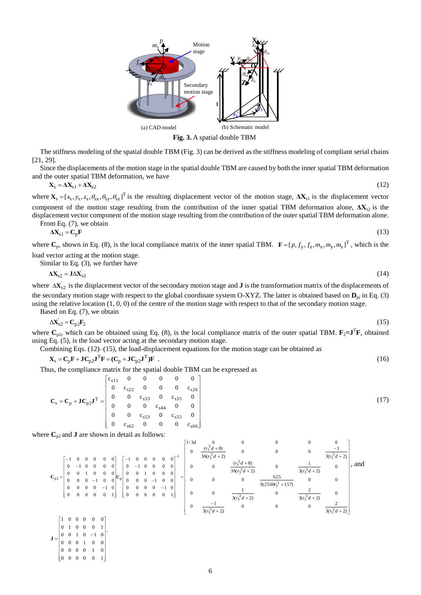

**Fig. 3.** A spatial double TBM

The stiffness modeling of the spatial double TBM (Fig. 3) can be derived as the stiffness modeling of compliant serial chains [21, 29].

Since the displacements of the motion stage in the spatial double TBM are caused by both the inner spatial TBM deformation and the outer spatial TBM deformation, we have

$$
\mathbf{X}_{\rm s} = \Delta \mathbf{X}_{\rm s1} + \Delta \mathbf{X}_{\rm s2} \tag{12}
$$

where  $\mathbf{X}_s = [x_s, y_s, z_s, \theta_{sx}, \theta_{sy}, \theta_{sz}]^T$  is the resulting displacement vector of the motion stage,  $\Delta \mathbf{X}_{s1}$  is the displacement vector component of the motion stage resulting from the contribution of the inner spatial TBM deformation alone,  $\Delta X_{s2}$  is the displacement vector component of the motion stage resulting from the contribution of the outer spatial TBM deformation alone.

From Eq. (7), we obtain  
\n
$$
\Delta X_{s1} = C_p F
$$
\n(13)

where  $\mathbf{C}_p$ , shown in Eq. (8), is the local compliance matrix of the inner spatial TBM.  $\mathbf{F} = [p, f_y, f_z, m_x, m_y, m_z]^T$ , which is the load vector acting at the motion stage.

Similar to Eq. (3), we further have

$$
\Delta \mathbf{X}_{s2} = \mathbf{J} \Delta \mathbf{X}_{s2}^{\dagger} \tag{14}
$$

where  $\Delta X_{s2}$  is the displacement vector of the secondary motion stage and **J** is the transformation matrix of the displacements of the secondary motion stage with respect to the global coordinate system O-XYZ. The latter is obtained based on  $D_{pi}$  in Eq. (3) using the relative location  $(1, 0, 0)$  of the centre of the motion stage with respect to that of the secondary motion stage. Based on Eq. (7), we obtain

$$
\Delta \mathbf{X}_{s2} = \mathbf{C}_{p2} \mathbf{F}_2 \tag{15}
$$

where  $C_{p2}$ , which can be obtained using Eq. (8), is the local compliance matrix of the outer spatial TBM.  $\mathbf{F}_2 = \mathbf{J}^T \mathbf{F}$ , obtained using Eq. (5), is the load vector acting at the secondary motion stage.

Combining Eqs. (12)–(15), the load-displacement equations for the motion stage can be obtained as

 $X_s = C_p F + J C_{p2} J^T F = (C_p + J C_{p2} J^T) F$  (16)

Thus, the compliance matrix for the spatial double TBM can be expressed as

$$
\mathbf{C}_{s} = \mathbf{C}_{p} + \mathbf{J} \mathbf{C}_{p2} \mathbf{J}^{T} = \begin{bmatrix} c_{s11} & 0 & 0 & 0 & 0 & 0 \\ 0 & c_{s22} & 0 & 0 & 0 & c_{s26} \\ 0 & 0 & c_{s33} & 0 & c_{s35} & 0 \\ 0 & 0 & 0 & c_{s44} & 0 & 0 \\ 0 & 0 & c_{s53} & 0 & c_{s55} & 0 \\ 0 & c_{s62} & 0 & 0 & 0 & c_{s66} \end{bmatrix}
$$
(17)

where  $C_{p2}$  and **J** are shown in detail as follows:

 $\begin{bmatrix} 0 & 0 & 0 & 0 & 1 \\ 0 & 0 & 0 & 0 & 0 & 1 \end{bmatrix}$  $\begin{bmatrix} 0 & 0 & 0 & 0 & 1 & 0 \\ 0 & 0 & 0 & 0 & 1 & 0 \end{bmatrix}$ 

 $= \begin{vmatrix} 0 & 1 & 0 & 0 & 0 & 1 \\ 0 & 0 & 1 & 0 & -1 & 0 \\ 0 & 0 & 0 & 1 & 0 & 0 \end{vmatrix}$ 

 $\mathbf{J} = \begin{bmatrix} 0 & 0 & 1 & 0 & -1 & 0 \\ 0 & 0 & 0 & 0 & 0 & 0 \\ 0 & 0 & 0 & 0 & 0 & 0 \\ 0 & 0 & 0 & 0 & 0 & 0 \\ 0 & 0 & 0 & 0 & 0 & 0 \\ 0 & 0 & 0 & 0 & 0 & 0 \\ 0 & 0 & 0 & 0 & 0 & 0 \\ 0 & 0 & 0 & 0 & 0 & 0 \\ 0 & 0 & 0 & 0 & 0 & 0 \\ 0 & 0 & 0 & 0 & 0 & 0 & 0 \\ 0 & 0 & 0 & 0 & 0 & 0 & 0 \\ 0 &$ 

.

re 
$$
C_{p2}
$$
 and **J** are shown in detail as follows:  
\n
$$
C_{p2} = \begin{bmatrix}\n-1 & 0 & 0 & 0 & 0 & 0 \\
0 & -1 & 0 & 0 & 0 & 0 \\
0 & 0 & 1 & 0 & 0 & 0 \\
0 & 0 & 0 & -1 & 0 & 0 \\
0 & 0 & 0 & 0 & 1\n\end{bmatrix}\n\begin{bmatrix}\n-1 & 0 & 0 & 0 & 0 & 0 \\
0 & -1 & 0 & 0 & 0 & 0 \\
0 & 0 & 1 & 0 & 0 & 0 \\
0 & 0 & 0 & 0 & -1 & 0 \\
0 & 0 & 0 & 0 & 0 & 1\n\end{bmatrix} = \begin{bmatrix}\n1/3d & 0 & 0 & 0 & 0 & 0 \\
0 & \frac{(r_3^2 d + 8)}{36(r_3^2 d + 2)} & 0 & 0 & \frac{1}{3(r_3^2 d + 2)} \\
0 & 0 & \frac{(r_3^2 d + 8)}{36(r_3^2 d + 2)} & 0 & \frac{1}{3(r_3^2 d + 2)} & 0 \\
0 & 0 & 0 & 0 & 0 & 0 \\
0 & 0 & 0 & 0 & 0 & 1\n\end{bmatrix},
$$
 and  $C_{p2} = \begin{bmatrix}\n1 & 0 & 0 & 0 & 0 & 0 \\
0 & 0 & 0 & 0 & 1 & 0 \\
0 & 0 & 0 & 0 & 0 & 1 \\
0 & 0 & 0 & 0 & 0 & 1\n\end{bmatrix} = \begin{bmatrix}\n1/3d & 0 & 0 & 0 & 0 & 0 \\
0 & \frac{(r_3^2 d + 8)}{36(r_3^2 d + 2)} & 0 & 0 & \frac{1}{3(r_3^2 d + 2)} & 0 \\
0 & 0 & \frac{1}{3(r_3^2 d + 2)} & 0 & \frac{2}{3(r_3^2 d + 2)} & 0 \\
0 & \frac{-1}{3(r_3^2 d + 2)} & 0 & 0 & \frac{2}{3(r_3^2 d + 2)}\n\end{bmatrix}$ 

 $\overline{\phantom{a}}$  $\overline{\phantom{a}}$  $\overline{\phantom{a}}$  $\overline{\phantom{a}}$  $\overline{\phantom{a}}$  $\overline{\phantom{a}}$  $\overline{\phantom{a}}$  $\overline{\phantom{a}}$ 

 $\overline{\phantom{a}}$ 

 $\mathbf{r}$ 

6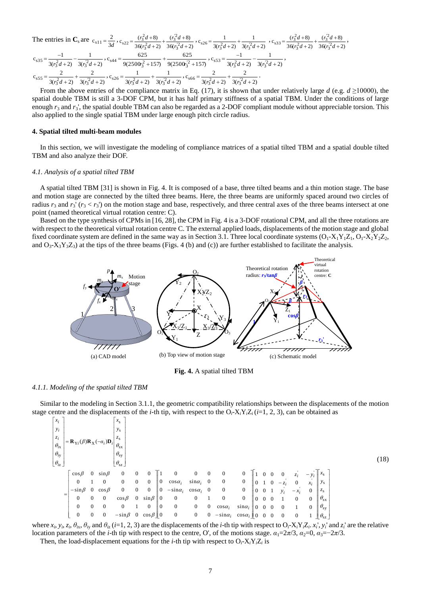The entries in **C**<sub>s</sub> are 
$$
c_{s11} = \frac{2}{3d}
$$
,  $c_{s22} = \frac{(r_3^2d + 8)}{36(r_3^2d + 2)} + \frac{(r_3^2d + 8)}{36(r_3^2d + 2)}$ ,  $c_{s26} = \frac{1}{3(r_3^2d + 2)} + \frac{1}{3(r_3^2d + 2)}$ ,  $c_{s33} = \frac{(r_3^2d + 8)}{36(r_3^2d + 2)} + \frac{(r_3^2d + 8)}{36(r_3^2d + 2)}$ ,  $c_{s35} = \frac{-1}{3(r_3^2d + 2)} - \frac{1}{3(r_3^2d + 2)}$ ,  $c_{s44} = \frac{625}{9(2500s_3^2 + 157)} + \frac{625}{9(2500s_3^2 + 157)}$ ,  $c_{s53} = \frac{-1}{3(r_3^2d + 2)} - \frac{1}{3(r_3^2d + 2)}$ ,  $c_{s55} = \frac{2}{3(r_3^2d + 2)} + \frac{2}{3(r_3^2d + 2)}$ ,  $c_{s56} = \frac{2}{3(r_3^2d + 2)}$ ,  $c_{s66} = \frac{2}{3(r_3^2d + 2)} + \frac{2}{3(r_3^2d + 2)}$ .

From the above entries of the compliance matrix in Eq. (17), it is shown that under relatively large  $d$  (e.g.  $d \ge 10000$ ), the spatial double TBM is still a 3-DOF CPM, but it has half primary stiffness of a spatial TBM. Under the conditions of large enough  $r_3$  and  $r_3$ ', the spatial double TBM can also be regarded as a 2-DOF compliant module without appreciable torsion. This also applied to the single spatial TBM under large enough pitch circle radius.

## **4. Spatial tilted multi-beam modules**

In this section, we will investigate the modeling of compliance matrices of a spatial tilted TBM and a spatial double tilted TBM and also analyze their DOF.

#### *4.1. Analysis of a spatial tilted TBM*

A spatial tilted TBM [31] is shown in Fig. 4. It is composed of a base, three tilted beams and a thin motion stage. The base and motion stage are connected by the tilted three beams. Here, the three beams are uniformly spaced around two circles of radius  $r_3$  and  $r_3'$  ( $r_3 < r_3$ ) on the motion stage and base, respectively, and three central axes of the three beams intersect at one point (named theoretical virtual rotation centre: C).

Based on the type synthesis of CPMs in [16, 28], the CPM in Fig. 4 is a 3-DOF rotational CPM, and all the three rotations are with respect to the theoretical virtual rotation centre C. The external applied loads, displacements of the motion stage and global fixed coordinate system are defined in the same way as in Section 3.1. Three local coordinate systems  $(O_1-X_1Y_1Z_1, O_1-X_2Y_2Z_2, O_1Z_1Z_1, O_1Z_2Z_2, O_1Z_1Z_1, O_1Z_1Z_1, O_1Z_2Z_2, O_1Z_1Z_1, O_1Z_1Z_1, O_1Z_1Z_1, O_1Z_1Z_1, O_$ and  $O_3$ - $X_3Y_3Z_3$ ) at the tips of the three beams (Figs. 4 (b) and (c)) are further established to facilitate the analysis.



**Fig. 4.** A spatial tilted TBM

#### *4.1.1. Modeling of the spatial tilted TBM*

Similar to the modeling in Section 3.1.1, the geometric compatibility relationships between the displacements of the motion stage centre and the displacements of the *i*-th tip, with respect to the  $O_i$ -X<sub>*i</sub>Y<sub>i</sub>Z<sub>i</sub>* (*i*=1, 2, 3), can be obtained as</sub>

| $x_i$                         |                                                                               |          |                | $x_{\rm s}$                                                                                                                                                     |                |                          |                  |                 |                   |                |                       |                             |                |                |                |                |                         |                |                   |  |           |        |  |
|-------------------------------|-------------------------------------------------------------------------------|----------|----------------|-----------------------------------------------------------------------------------------------------------------------------------------------------------------|----------------|--------------------------|------------------|-----------------|-------------------|----------------|-----------------------|-----------------------------|----------------|----------------|----------------|----------------|-------------------------|----------------|-------------------|--|-----------|--------|--|
| $y_i$                         |                                                                               |          |                | $y_{s}$                                                                                                                                                         |                |                          |                  |                 |                   |                |                       |                             |                |                |                |                |                         |                |                   |  |           |        |  |
| $z_i$                         |                                                                               |          |                | $z_{\rm s}$                                                                                                                                                     |                |                          |                  |                 |                   |                |                       |                             |                |                |                |                |                         |                |                   |  |           |        |  |
| $\theta_{i\text{x}}$          | $= \mathbf{R}_{\text{Y}i}(\beta)\mathbf{R}_{\text{X}}(-\alpha_i)\mathbf{D}_i$ |          |                | $\theta_{\rm sx}$                                                                                                                                               |                |                          |                  |                 |                   |                |                       |                             |                |                |                |                |                         |                |                   |  |           |        |  |
| $\theta_{i\mathrm{y}}$        |                                                                               |          |                | $\theta_{\rm sy}$                                                                                                                                               |                |                          |                  |                 |                   |                |                       |                             |                |                |                |                |                         |                |                   |  |           |        |  |
| $\lfloor \theta_{iz} \rfloor$ |                                                                               |          |                | $\theta_{\rm sz}$                                                                                                                                               |                |                          |                  |                 |                   |                |                       |                             |                |                |                |                |                         |                |                   |  |           | (18)   |  |
|                               |                                                                               | $\Omega$ |                | $\overline{0}$                                                                                                                                                  |                |                          |                  | $\Omega$        |                   |                |                       |                             |                |                |                |                |                         |                |                   |  |           |        |  |
|                               | $\cos \beta$                                                                  |          | $\sin \beta$   |                                                                                                                                                                 |                | $\theta$                 |                  |                 |                   | $\overline{0}$ | $\boldsymbol{0}$      | $\boldsymbol{0}$            |                |                |                | $\overline{0}$ | $\boldsymbol{z}_i$      |                | $x_{\rm s}$       |  |           |        |  |
|                               | $\Omega$                                                                      |          | $\mathbf{0}$   | $\overline{0}$                                                                                                                                                  | $\overline{0}$ | $\mathbf{0}$             | $\boldsymbol{0}$ | $cos \alpha_i$  | $\sin \alpha_i$ 0 |                | $\bf{0}$              | $\boldsymbol{0}$            | $\overline{0}$ |                |                |                | $\boldsymbol{0}$        | $x_i$          | $y_{s}$           |  |           |        |  |
|                               | $-\sin\beta$                                                                  | $\Omega$ | $\cos \beta$   | $\overline{0}$                                                                                                                                                  | $\overline{0}$ | $\boldsymbol{0}$         | $\mathbf{0}$     | $-\sin\alpha_i$ | $\cos \alpha_i$ 0 |                | $\mathbf{0}$          | $\boldsymbol{0}$            | $\mathbf{0}$   | $\overline{0}$ |                | $y_i$          | $-x_i$                  | $\overline{0}$ | $z_{\rm s}$       |  |           |        |  |
| $=$                           | $\Omega$                                                                      | $\Omega$ | $\mathbf{0}$   | $\cos \beta$                                                                                                                                                    | $\overline{0}$ | $\sin \beta \parallel 0$ |                  | $\bf{0}$        | $\bf{0}$          |                | $\bf{0}$              | $\overline{0}$              | $\mathbf{0}$   | $\cdot$ 0      | $\Omega$       |                | $\overline{0}$          | $\theta$       | $\theta_{\rm sx}$ |  |           |        |  |
|                               | $\overline{0}$                                                                | $\Omega$ | $\overline{0}$ | $\overline{0}$                                                                                                                                                  |                | $\overline{0}$           | O                | $\overline{0}$  | $\overline{0}$    | $\overline{0}$ | $\cos \alpha_i$       | $\sin \alpha_i$             | $\mathbf{0}$   | $\mathbf{0}$   | $\Omega$       | $\Omega$       | 1                       | $\theta$       | $\theta_{\rm sy}$ |  |           |        |  |
|                               | $\overline{0}$                                                                | $\Omega$ | $\overline{0}$ | $-\sin\beta$ 0                                                                                                                                                  |                | $\cos \beta \parallel 0$ |                  | $\overline{0}$  | $\overline{0}$    | $\overline{0}$ | $-\sin\alpha_i$       | $\cos \alpha_i \parallel 0$ |                | $\mathbf{0}$   | $\overline{0}$ | $\overline{0}$ | $\mathbf{0}$            |                | $\theta_{\rm sz}$ |  |           |        |  |
|                               | $\alpha$ $\alpha$                                                             |          |                | $\overline{10}$ $\overline{10}$ $\overline{10}$ $\overline{10}$ $\overline{10}$ $\overline{10}$ $\overline{11}$ $\overline{11}$ $\overline{11}$ $\overline{11}$ |                |                          |                  |                 |                   |                | $0.4 \pm 0.4 \pm 0.7$ | $\cdot$ . $\cdot$           |                |                |                |                | $\cdots$ $\alpha$ $\pi$ |                | $\cdots$          |  | $\cdot$ 1 | $\sim$ |  |

where  $x_i$ ,  $y_i$ ,  $z_i$ ,  $\theta_{ix}$ ,  $\theta_{iy}$  and  $\theta_{iz}$  (*i*=1, 2, 3) are the displacements of the *i*-th tip with respect to  $O_i$ - $X_iY_iZ_i$ .  $x_i'$ ,  $y_i'$  and  $z_i'$  are the relative location parameters of the *i*-th tip with respect to the centre, O', of the motions stage.  $a_1=2\pi/3$ ,  $a_2=0$ ,  $a_3=-2\pi/3$ .

Then, the load-displacement equations for the *i*-th tip with respect to  $O_i$ - $X_iY_iZ_i$  is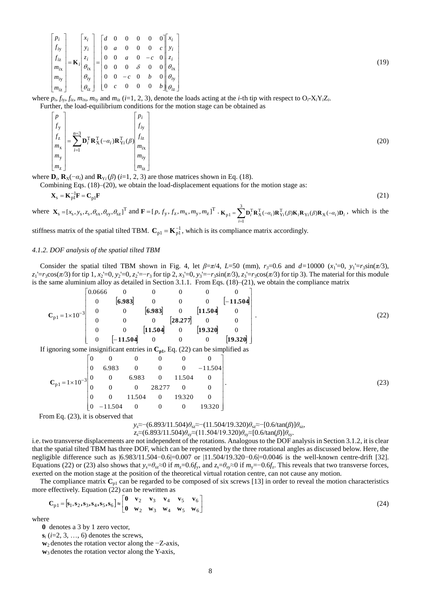$$
\begin{bmatrix} p_i \\ f_{iy} \\ f_{iz} \\ m_{iz} \\ m_{iy} \\ m_{iz} \end{bmatrix} = \mathbf{K}_i \begin{bmatrix} x_i \\ y_i \\ z_i \\ \theta_{ix} \\ \theta_{iy} \\ \theta_{iy} \\ \theta_{iz} \end{bmatrix} = \begin{bmatrix} d & 0 & 0 & 0 & 0 & 0 \\ 0 & a & 0 & 0 & 0 & c \\ 0 & 0 & a & 0 & -c & 0 \\ 0 & 0 & 0 & \delta & 0 & 0 & 0 \\ 0 & 0 & -c & 0 & b & 0 & 0 \\ 0 & c & 0 & 0 & 0 & b & 0 & 0 \\ 0 & c & 0 & 0 & 0 & 0 & b & 0 & 0 \\ 0 & c & 0 & 0 & 0 & 0 & 0 & 0 \end{bmatrix} \begin{bmatrix} x_i \\ y_i \\ z_i \\ \theta_{ix} \\ \theta_{iy} \\ \theta_{iy} \\ \theta_{iz} \end{bmatrix}
$$
\n(19)

where  $p_i$ ,  $f_{iy}$ ,  $f_{iz}$ ,  $m_{ix}$ ,  $m_{iy}$  and  $m_{iz}$  (*i*=1, 2, 3), denote the loads acting at the *i*-th tip with respect to  $O_i$ -X<sub>i</sub>Y<sub>i</sub>Z<sub>i</sub>. Further, the load-equilibrium conditions for the motion stage can be obtained as

 $\sum_{n=3}^{n=3}$ =  $\overline{\phantom{a}}$  $\overline{\phantom{a}}$  $\overline{\phantom{a}}$  $\overline{\phantom{a}}$  $\overline{\phantom{a}}$  $\overline{\phantom{a}}$  $\overline{\phantom{a}}$  $\overline{\phantom{a}}$  $\perp$  $\overline{\phantom{a}}$ L L L L L L L L L L  $=$   $\sum_{i}$   ${\bf D}_{i}^{1}$   ${\bf R}_{X}^{1}$  (-I I I I I I I I  $\rfloor$ I L L L ļ. L L L ļ. L L 3 1 z y x z y  $_{i}^{\mathrm{T}}\mathbf{R}_{\mathrm{X}}^{\mathrm{T}}(-\alpha_{i})\mathbf{R}_{\mathrm{Y}}^{\mathrm{T}}$ z y x z y  $(-\alpha_i) \mathbf{R}_{Y_i}^1(\beta)$ *n i i i i i i i*  $i$  **i**  $X$   $\left(\frac{-a_i}{a_i}\right)$  is  $Y_i$ *m m m f f p*  $\alpha_i$ )**R**<sup>1</sup><sub>Y</sub><sub>i</sub>( $\beta$ *m m m f f p*  $\mathbf{D}_i^T \mathbf{R}_X^T(-a_i) \mathbf{R}_{Y_i}^T(\beta)^{J/L}$  (20)

where  $\mathbf{D}_i$ ,  $\mathbf{R}_X(-\alpha_i)$  and  $\mathbf{R}_{Y_i}(\beta)$  (*i*=1, 2, 3) are those matrices shown in Eq. (18).

Combining Eqs. (18)–(20), we obtain the load-displacement equations for the motion stage as:

$$
\mathbf{X}_{\rm s} = \mathbf{K}_{\rm pl}^{-1} \mathbf{F} = \mathbf{C}_{\rm pl} \mathbf{F} \tag{21}
$$

where 
$$
\mathbf{X}_s = [x_s, y_s, z_s, \theta_{sx}, \theta_{sy}, \theta_{sz}]^T
$$
 and  $\mathbf{F} = [p, f_y, f_z, m_x, m_y, m_z]^T \cdot \mathbf{K}_{p1} = \sum_{i=1}^3 \mathbf{D}_i^T \mathbf{R}_X^T(-\alpha_i) \mathbf{R}_{Y_i}^T(\beta) \mathbf{K}_i \mathbf{R}_{Y_i}(\beta) \mathbf{R}_X(-\alpha_i) \mathbf{D}_i$ , which is the

stiffness matrix of the spatial tilted TBM.  $C_{p1} = K_{p1}^{-1}$ , which is its compliance matrix accordingly.

## *4.1.2. DOF analysis of the spatial tilted TBM*

Consider the spatial tilted TBM shown in Fig. 4, let  $\beta = \pi/4$ , L=50 (mm),  $r_3 = 0.6$  and  $d = 10000$  ( $x_1 = 0$ ,  $y_1 = r_3 \sin(\pi/3)$ ,  $z_1 = r_3 \cos(\pi/3)$  for tip 1,  $x_2 = 0$ ,  $y_2 = 0$ ,  $z_2 = -r_3$  for tip 2,  $x_3 = 0$ ,  $y_3 = -r_3 \sin(\pi/3)$ ,  $z_3 = r_3 \cos(\pi/3)$  for tip 3). The material for this module is the same aluminium alloy as detailed in Section 3.1.1. From Eqs. (18)–(21), we obtain the compliance matrix

$$
C_{p1} = 1 \times 10^{-3} \begin{bmatrix} 0.0666 & 0 & 0 & 0 & 0 & 0 & 0 \\ 0 & [6.983] & 0 & 0 & 0 & [-11.504] \\ 0 & 0 & [6.983] & 0 & [11.504] & 0 \\ 0 & 0 & 0 & [28.277] & 0 & 0 \\ 0 & 0 & [11.504] & 0 & [19.320] & 0 \\ 0 & [-11.504] & 0 & 0 & 0 & [19.320] \end{bmatrix}.
$$

$$
\mathbf{C}_{p1} = 1 \times 10^{-3} \begin{bmatrix} 0 & 0 & 0 & 0 & 0 & 0 \\ 0 & 6.983 & 0 & 0 & 0 & -11.504 \\ 0 & 0 & 6.983 & 0 & 11.504 & 0 \\ 0 & 0 & 0 & 28.277 & 0 & 0 \\ 0 & 0 & 11.504 & 0 & 19.320 & 0 \\ 0 & -11.504 & 0 & 0 & 0 & 19.320 \end{bmatrix}.
$$
 (23)

From Eq. (23), it is observed that

## *y*<sub>s</sub>≈−(6.893/11.504) $\theta_{sz}$ ≈−(11.504/19.320) $\theta_{sz}$ ≈−[0.6/tan(β)] $\theta_{sz}$ ,

$$
z_s \approx (6.893/11.504) \theta_{sy} \approx (11.504/19.320) \theta_{sy} \approx [0.6/\tan(\beta)] \theta_{sy}.
$$

i.e. two transverse displacements are not independent of the rotations. Analogous to the DOF analysis in Section 3.1.2, it is clear that the spatial tilted TBM has three DOF, which can be represented by the three rotational angles as discussed below. Here, the negligible difference such as |6.983/11.504−0.6|=0.007 or |11.504/19.320−0.6|=0.0046 is the well-known centre-drift [32]. Equations (22) or (23) also shows that  $y_s = \theta_{s} \approx 0$  if  $m_z = 0.6f_y$ , and  $z_s = \theta_{s} \approx 0$  if  $m_y = -0.6f_z$ . This reveals that two transverse forces, exerted on the motion stage at the position of the theoretical virtual rotation centre, can not cause any motion.

The compliance matrix  $\mathbf{C}_{p1}$  can be regarded to be composed of six screws [13] in order to reveal the motion characteristics more effectively. Equation (22) can be rewritten as

$$
\mathbf{C}_{p1} = [\mathbf{s}_1, \mathbf{s}_2, \mathbf{s}_3, \mathbf{s}_4, \mathbf{s}_5, \mathbf{s}_6] \approx \begin{bmatrix} \mathbf{0} & \mathbf{v}_2 & \mathbf{v}_3 & \mathbf{v}_4 & \mathbf{v}_5 & \mathbf{v}_6 \\ \mathbf{0} & \mathbf{w}_2 & \mathbf{w}_3 & \mathbf{w}_4 & \mathbf{w}_5 & \mathbf{w}_6 \end{bmatrix}
$$
(24)

where

**0** denotes a 3 by 1 zero vector,

 $s_i$  (*i*=2, 3, …, 6) denotes the screws,

**w**<sub>2</sub> denotes the rotation vector along the −Z-axis,

**w**<sup>3</sup> denotes the rotation vector along the Y-axis,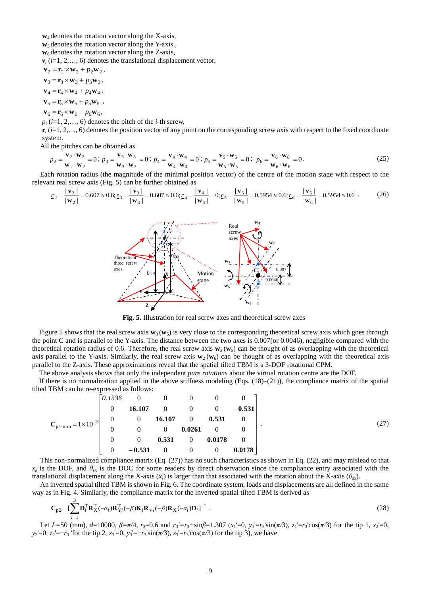$w_4$  denotes the rotation vector along the X-axis,

**w**<sub>5</sub> denotes the rotation vector along the Y-axis,

 $w_6$  denotes the rotation vector along the Z-axis,

 $v_i$  ( $i=1, 2, \ldots, 6$ ) denotes the translational displacement vector,

**,**  $\mathbf{v}_3 = \mathbf{r}_3 \times \mathbf{w}_3 + p_3 \mathbf{w}_3$  $$  $\mathbf{v}_5 = \mathbf{r}_5 \times \mathbf{w}_5 + p_5 \mathbf{w}_5$ ,

 $$ 

 $p_i$  (*i*=1, 2,..., 6) denotes the pitch of the *i*-th screw,

 $\mathbf{r}_i$  ( $i=1, 2, \ldots, 6$ ) denotes the position vector of any point on the corresponding screw axis with respect to the fixed coordinate system.

All the pitches can be obtained as

$$
p_2 = \frac{\mathbf{v}_2 \cdot \mathbf{w}_2}{\mathbf{w}_2 \cdot \mathbf{w}_2} = 0; p_3 = \frac{\mathbf{v}_3 \cdot \mathbf{w}_3}{\mathbf{w}_3 \cdot \mathbf{w}_3} = 0; p_4 = \frac{\mathbf{v}_4 \cdot \mathbf{w}_4}{\mathbf{w}_4 \cdot \mathbf{w}_4} = 0; p_5 = \frac{\mathbf{v}_5 \cdot \mathbf{w}_5}{\mathbf{w}_5 \cdot \mathbf{w}_5} = 0; p_6 = \frac{\mathbf{v}_6 \cdot \mathbf{w}_6}{\mathbf{w}_6 \cdot \mathbf{w}_6} = 0.
$$
 (25)

Each rotation radius (the magnitude of the minimal position vector) of the centre of the motion stage with respect to the relevant real screw axis (Fig. 5) can be further obtained as

$$
\underline{r}_2 = \frac{|\mathbf{v}_2|}{|\mathbf{w}_2|} = 0.607 \approx 0.6; \underline{r}_3 = \frac{|\mathbf{v}_3|}{|\mathbf{w}_3|} = 0.607 \approx 0.6; \underline{r}_4 = \frac{|\mathbf{v}_4|}{|\mathbf{w}_4|} = 0; \underline{r}_5 = \frac{|\mathbf{v}_5|}{|\mathbf{w}_5|} = 0.5954 \approx 0.6; \underline{r}_6 = \frac{|\mathbf{v}_6|}{|\mathbf{w}_6|} = 0.5954 \approx 0.6 \tag{26}
$$



**Fig. 5.** Illustration for real screw axes and theoretical screw axes

Figure 5 shows that the real screw axis  $w_3(w_5)$  is very close to the corresponding theoretical screw axis which goes through the point C and is parallel to the Y-axis. The distance between the two axes is 0.007(or 0.0046), negligible compared with the theoretical rotation radius of 0.6. Therefore, the real screw axis  $w_3(w_5)$  can be thought of as overlapping with the theoretical axis parallel to the Y-axis. Similarly, the real screw axis  $w_2(w_6)$  can be thought of as overlapping with the theoretical axis parallel to the Z-axis. These approximations reveal that the spatial tilted TBM is a 3-DOF rotational CPM.

The above analysis shows that only the independent *pure rotations* about the virtual rotation centre are the DOF.

If there is no normalization applied in the above stiffness modeling  $(Eqs. (18)–(21))$ , the compliance matrix of the spatial tilted TBM can be re-expressed as follows:

$$
\mathbf{C}_{p1\text{-non}} = 1 \times 10^{-3} \begin{bmatrix} 0.1536 & 0 & 0 & 0 & 0 & 0 \\ 0 & 16.107 & 0 & 0 & 0 & -0.531 \\ 0 & 0 & 16.107 & 0 & 0.531 & 0 \\ 0 & 0 & 0 & 0.0261 & 0 & 0 \\ 0 & 0 & 0.531 & 0 & 0.0178 & 0 \\ 0 & -0.531 & 0 & 0 & 0 & 0.0178 \end{bmatrix}.
$$
 (27)

This non-normalized compliance matrix (Eq. (27)) has no such characteristics as shown in Eq. (22), and may mislead to that  $x_s$  is the DOF, and  $\theta_{sx}$  is the DOC for some readers by direct observation since the compliance entry associated with the translational displacement along the X-axis  $(x_s)$  is larger than that associated with the rotation about the X-axis  $(\theta_{sx})$ .

An inverted spatial tilted TBM is shown in Fig. 6. The coordinate system, loads and displacements are all defined in the same way as in Fig. 4. Similarly, the compliance matrix for the inverted spatial tilted TBM is derived as

$$
\mathbf{C}_{p2} = \left[\sum_{i=1}^{3} \mathbf{D}_{i}^{\mathrm{T}} \mathbf{R}_{X}^{\mathrm{T}}(-\alpha_{i}) \mathbf{R}_{Yi}^{\mathrm{T}}(-\beta) \mathbf{K}_{i} \mathbf{R}_{Yi}(-\beta) \mathbf{R}_{X}(-\alpha_{i}) \mathbf{D}_{i}\right]^{-1}.
$$
\n(28)

Let L=50 (mm), d=10000,  $\beta = \pi/4$ , r<sub>3</sub>=0.6 and r<sub>3</sub>'=r<sub>3</sub>+sin $\beta$ =1.307 (x<sub>1</sub>'=0, y<sub>1</sub>'=r<sub>3</sub>'sin( $\pi/3$ ), z<sub>1</sub>'=r<sub>3</sub>'cos( $\pi/3$ ) for the tip 1, x<sub>2</sub>'=0,  $y_2$ '=0,  $z_2$ '=−*r*<sub>3</sub> 'for the tip 2,  $x_3$ '=0,  $y_3$ '=− $r_3$ 'sin( $\pi/3$ ),  $z_3$ '= $r_3$ 'cos( $\pi/3$ ) for the tip 3), we have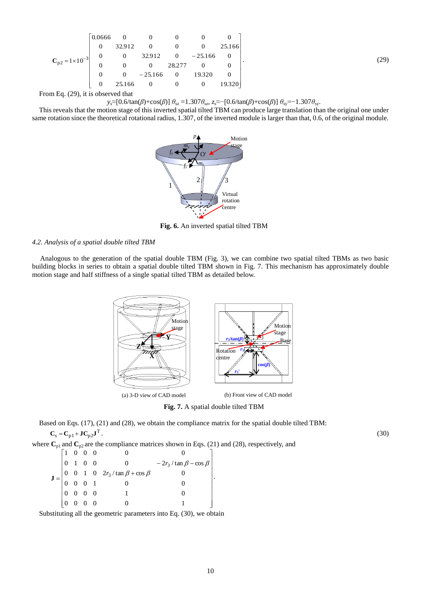$$
\mathbf{C}_{p2} = 1 \times 10^{-3} \begin{bmatrix} 0.0666 & 0 & 0 & 0 & 0 & 0 \\ 0 & 32.912 & 0 & 0 & 0 & 25.166 \\ 0 & 0 & 32.912 & 0 & -25.166 & 0 \\ 0 & 0 & 0 & 28.277 & 0 & 0 \\ 0 & 0 & -25.166 & 0 & 19.320 & 0 \\ 0 & 25.166 & 0 & 0 & 0 & 19.320 \end{bmatrix}.
$$
 (29)

From Eq. (29), it is observed that

*y*s≈[0.6/tan(*β*)+cos(*β*)] *θ*sz =1.307*θ*sz, *z*s≈−[0.6/tan(*β*)+cos(*β*)] *θ*sy=−1.307*θ*sy.

 This reveals that the motion stage of this inverted spatial tilted TBM can produce large translation than the original one under same rotation since the theoretical rotational radius, 1.307, of the inverted module is larger than that, 0.6, of the original module.



**Fig. 6.** An inverted spatial tilted TBM

*4.2. Analysis of a spatial double tilted TBM*

Analogous to the generation of the spatial double TBM (Fig. 3), we can combine two spatial tilted TBMs as two basic building blocks in series to obtain a spatial double tilted TBM shown in Fig. 7. This mechanism has approximately double motion stage and half stiffness of a single spatial tilted TBM as detailed below.



**Fig. 7.** A spatial double tilted TBM

Based on Eqs. (17), (21) and (28), we obtain the compliance matrix for the spatial double tilted TBM:  $C_s = C_{p1} + JC_{p2}J^T$ . (30)

where  $\mathbf{C}_{p1}$  and  $\mathbf{C}_{p2}$  are the compliance matrices shown in Eqs. (21) and (28), respectively, and  $\overline{\phantom{a}}$  $\overline{\phantom{a}}$  $\overline{\phantom{a}}$  $\overline{\phantom{a}}$  $\overline{\phantom{a}}$  $\overline{\phantom{a}}$  $\overline{\phantom{a}}$  $\overline{\phantom{a}}$  $\frac{1}{2}$  $\overline{\phantom{a}}$  $\mathsf{I}$  $\mathbf{r}$  $\begin{array}{|ccc|} 0 & 0 & 0 & 0 \end{array}$  $\mathbb{I}$  $\mathbb{I}$  $\mathbb{I}$  $\mathbb{I}$  $\mathbf{r}$  $\begin{bmatrix} 0 & 0 & 0 & 0 & 0 & 0 & 1 \end{bmatrix}$  $1 \t0 \t0 \t0$  0 0 0  $\ddot{}$  $-2r_3/\tan\beta$  –  $=$ 0 0 0 0 1 0 0 0 0 1 0 0 0 0 1 0  $2r_3 / \tan \beta + \cos \beta$  0 0 1 0 0 0  $-2r_3/\tan\beta - \cos\theta$ 3 3  $\beta$  + cos  $\beta$  $\beta$  – cos  $\beta$ *r r*  $\mathbf{J} = \begin{vmatrix} 0 & 0 & 1 & 0 & 2t_3 / \tan \rho + \cos \rho & 0 \\ 0 & 0 & 0 & 1 & 0 \end{vmatrix}.$ 

Substituting all the geometric parameters into Eq. (30), we obtain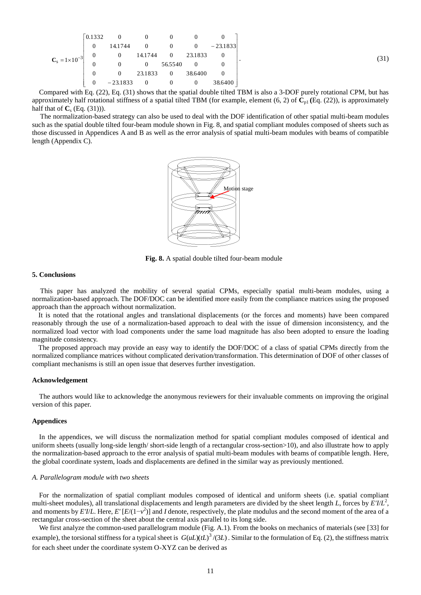|                          | 0.1332         | $\overline{0}$      | $\overline{0}$          | $\overline{0}$ | $\overline{0}$          |            |
|--------------------------|----------------|---------------------|-------------------------|----------------|-------------------------|------------|
|                          | $\overline{0}$ | 14.1744             | $\overline{\mathbf{0}}$ | $\overline{0}$ | $\overline{\mathbf{0}}$ | $-23.1833$ |
| $C_s = 1 \times 10^{-3}$ | $\overline{0}$ | $\mathbf{0}$        |                         |                | 14.1744 0 23.1833       |            |
|                          | $\overline{0}$ | $\theta$            | $\overline{0}$          | 56.5540        | $\overline{0}$          |            |
|                          | $\overline{0}$ | $0 \t 23.1833 \t 0$ |                         |                | 38.6400                 |            |
|                          | $\overline{0}$ | $-23.1833$          | $0\qquad 0$             |                | $\overline{\mathbf{0}}$ | 38.6400    |

Compared with Eq. (22), Eq. (31) shows that the spatial double tilted TBM is also a 3-DOF purely rotational CPM, but has approximately half rotational stiffness of a spatial tilted TBM (for example, element  $(6, 2)$  of  $\mathbb{C}_{p1}$  (Eq. (22)), is approximately half that of  $C_s$  (Eq. (31))).

The normalization-based strategy can also be used to deal with the DOF identification of other spatial multi-beam modules such as the spatial double tilted four-beam module shown in Fig. 8, and spatial compliant modules composed of sheets such as those discussed in Appendices A and B as well as the error analysis of spatial multi-beam modules with beams of compatible length (Appendix C).



**Fig. 8.** A spatial double tilted four-beam module

## **5. Conclusions**

This paper has analyzed the mobility of several spatial CPMs, especially spatial multi-beam modules, using a normalization-based approach. The DOF/DOC can be identified more easily from the compliance matrices using the proposed approach than the approach without normalization.

It is noted that the rotational angles and translational displacements (or the forces and moments) have been compared reasonably through the use of a normalization-based approach to deal with the issue of dimension inconsistency, and the normalized load vector with load components under the same load magnitude has also been adopted to ensure the loading magnitude consistency.

The proposed approach may provide an easy way to identify the DOF/DOC of a class of spatial CPMs directly from the normalized compliance matrices without complicated derivation/transformation. This determination of DOF of other classes of compliant mechanisms is still an open issue that deserves further investigation.

#### **Acknowledgement**

The authors would like to acknowledge the anonymous reviewers for their invaluable comments on improving the original version of this paper.

## **Appendices**

In the appendices, we will discuss the normalization method for spatial compliant modules composed of identical and uniform sheets (usually long-side length/ short-side length of a rectangular cross-section>10), and also illustrate how to apply the normalization-based approach to the error analysis of spatial multi-beam modules with beams of compatible length. Here, the global coordinate system, loads and displacements are defined in the similar way as previously mentioned.

## *A. Parallelogram module with two sheets*

For the normalization of spatial compliant modules composed of identical and uniform sheets (i.e. spatial compliant multi-sheet modules), all translational displacements and length parameters are divided by the sheet length *L*, forces by *E'I*/*L* 2 , and moments by  $E'I/L$ . Here,  $E'[E/(1-v^2)]$  and *I* denote, respectively, the plate modulus and the second moment of the area of a rectangular cross-section of the sheet about the central axis parallel to its long side.

We first analyze the common-used parallelogram module (Fig. A.1). From the books on mechanics of materials (see [33] for example), the torsional stiffness for a typical sheet is  $G(uL)(tL)^3/(3L)$ . Similar to the formulation of Eq. (2), the stiffness matrix for each sheet under the coordinate system O-XYZ can be derived as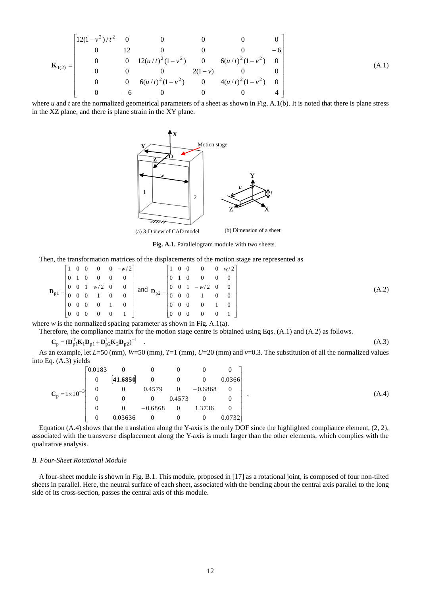$$
\mathbf{K}_{1(2)} = \begin{bmatrix} 12(1 - v^2)/t^2 & 0 & 0 & 0 & 0 & 0 \ 0 & 12 & 0 & 0 & 0 & -6 \ 0 & 0 & 12(u/t)^2(1 - v^2) & 0 & 6(u/t)^2(1 - v^2) & 0 \ 0 & 0 & 0 & 2(1 - v) & 0 & 0 \ 0 & 0 & 6(u/t)^2(1 - v^2) & 0 & 4(u/t)^2(1 - v^2) & 0 \ 0 & -6 & 0 & 0 & 0 & 4 \end{bmatrix}
$$
(A.1)

where *u* and *t* are the normalized geometrical parameters of a sheet as shown in Fig. A.1(b). It is noted that there is plane stress in the XZ plane, and there is plane strain in the XY plane.



**Fig. A.1.** Parallelogram module with two sheets

Then, the transformation matrices of the displacements of the motion stage are represented as

$$
\mathbf{D}_{p1} = \begin{bmatrix} 1 & 0 & 0 & 0 & 0 & -w/2 \\ 0 & 1 & 0 & 0 & 0 & 0 \\ 0 & 0 & 1 & w/2 & 0 & 0 \\ 0 & 0 & 0 & 1 & 0 & 0 \\ 0 & 0 & 0 & 0 & 1 & 0 \\ 0 & 0 & 0 & 0 & 0 & 1 \end{bmatrix} \text{ and } \mathbf{D}_{p2} = \begin{bmatrix} 1 & 0 & 0 & 0 & 0 & w/2 \\ 0 & 1 & 0 & 0 & 0 & 0 \\ 0 & 0 & 1 & -w/2 & 0 & 0 \\ 0 & 0 & 0 & 1 & 0 & 0 \\ 0 & 0 & 0 & 0 & 1 & 0 \\ 0 & 0 & 0 & 0 & 0 & 1 \end{bmatrix}
$$
(A.2)

where *w* is the normalized spacing parameter as shown in Fig. A.1(a).

Therefore, the compliance matrix for the motion stage centre is obtained using Eqs. (A.1) and (A.2) as follows.

$$
\mathbf{C}_{\mathbf{p}} = (\mathbf{D}_{\mathbf{p1}}^{\mathrm{T}} \mathbf{K}_1 \mathbf{D}_{\mathbf{p1}} + \mathbf{D}_{\mathbf{p2}}^{\mathrm{T}} \mathbf{K}_2 \mathbf{D}_{\mathbf{p2}})^{-1} \tag{A.3}
$$

As an example, let *L*=50 (mm), *W*=50 (mm), *T*=1 (mm), *U*=20 (mm) and *v*=0.3. The substitution of all the normalized values into Eq. (A.3) yields

|                          | 0.0183         |                  | $\overline{0}$           | $\overline{\phantom{0}}$ | $\overline{0}$   | $\overline{0}$ |
|--------------------------|----------------|------------------|--------------------------|--------------------------|------------------|----------------|
|                          | $\overline{0}$ | [41.6850]        | $\overline{\phantom{0}}$ | $\overline{\phantom{0}}$ | $\boldsymbol{0}$ | 0.0366         |
| $C_p = 1 \times 10^{-3}$ | $\overline{0}$ | $\boldsymbol{0}$ | 0.4579                   |                          | $0 -0.6868$      | $\overline{0}$ |
|                          |                | $\overline{0}$   | $\overline{\phantom{0}}$ | 0.4573                   |                  |                |
|                          |                | $\overline{0}$   | $-0.6868$                | $\overline{\phantom{0}}$ | 1.3736           | $\overline{0}$ |
|                          |                | 0.03636          | $\overline{0}$           | $\overline{0}$           | $\boldsymbol{0}$ | 0.0732         |

Equation (A.4) shows that the translation along the Y-axis is the only DOF since the highlighted compliance element, (2, 2), associated with the transverse displacement along the Y-axis is much larger than the other elements, which complies with the qualitative analysis.

## *B. Four-Sheet Rotational Module*

A four-sheet module is shown in Fig. B.1. This module, proposed in [17] as a rotational joint, is composed of four non-tilted sheets in parallel. Here, the neutral surface of each sheet, associated with the bending about the central axis parallel to the long side of its cross-section, passes the central axis of this module.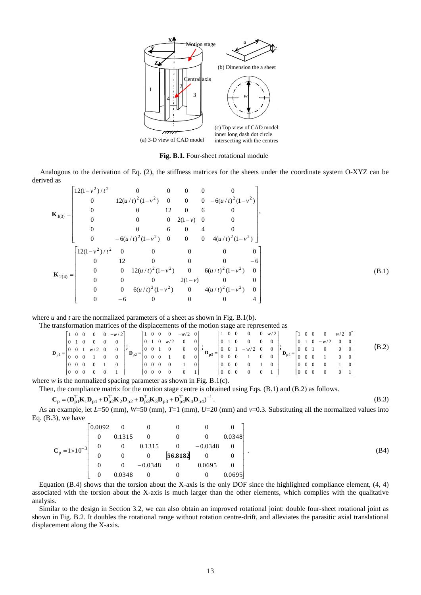

**Fig. B.1.** Four-sheet rotational module

Analogous to the derivation of Eq. (2), the stiffness matrices for the sheets under the coordinate system O-XYZ can be derived as

$$
\mathbf{K}_{1(3)} = \begin{bmatrix}\n12(1-v^2)/t^2 & 0 & 0 & 0 & 0 & 0 \\
0 & 12(u/t)^2(1-v^2) & 0 & 0 & 0 & -6(u/t)^2(1-v^2) \\
0 & 0 & 12 & 0 & 6 & 0 \\
0 & 0 & 0 & 2(1-v) & 0 & 0 \\
0 & 0 & 6 & 0 & 4 & 0 \\
0 & -6(u/t)^2(1-v^2) & 0 & 0 & 0 & 4(u/t)^2(1-v^2)\n\end{bmatrix},
$$
\n
$$
\mathbf{K}_{2(4)} = \begin{bmatrix}\n12(1-v^2)/t^2 & 0 & 0 & 0 & 0 & 0 & 0 \\
0 & 12 & 0 & 0 & 0 & 0 & 0 & 0 \\
0 & 0 & 12(u/t)^2(1-v^2) & 0 & 6(u/t)^2(1-v^2) & 0 \\
0 & 0 & 0 & 2(1-v) & 0 & 0 \\
0 & 0 & 6(u/t)^2(1-v^2) & 0 & 4(u/t)^2(1-v^2) & 0 \\
0 & -6 & 0 & 0 & 0 & 4\n\end{bmatrix}
$$
\n(B.1)

where *u* and *t* are the normalized parameters of a sheet as shown in Fig. B.1(b).

The transformation matrices of the displacements of the motion stage are represented as

|                     |                                       |                                           |  | $0 -w/2$ |                     |                                       |  | $\overline{0}$ | $-w/2$ 0 |                |                              |                                           |                                        | $\overline{0}$ | $0 \le w/2$    |                                                                   |                                       |  | $\overline{0}$ | $w/2$ 0 |                 |       |
|---------------------|---------------------------------------|-------------------------------------------|--|----------|---------------------|---------------------------------------|--|----------------|----------|----------------|------------------------------|-------------------------------------------|----------------------------------------|----------------|----------------|-------------------------------------------------------------------|---------------------------------------|--|----------------|---------|-----------------|-------|
|                     | $\overline{0}$                        |                                           |  |          |                     |                                       |  | w/2            |          | 0 <sup>1</sup> |                              |                                           |                                        |                |                |                                                                   |                                       |  | $-w/2$         |         |                 |       |
| $\mathbf{D}_{p1} =$ |                                       | $\begin{pmatrix} 0 & 0 \end{pmatrix}$     |  |          |                     | . 0                                   |  |                |          |                | $0 \mid \prime$              |                                           |                                        | $- w$          |                | $\left\  \right\ _{\mathbf{D}_{\mathrm{p}4}} = \right\ _{\Omega}$ |                                       |  |                |         | $\vert 0 \vert$ | (B.2) |
|                     |                                       |                                           |  |          | $\mathbf{D}_{p2} =$ |                                       |  |                | $\Omega$ | $\overline{0}$ | $\mathbf{D}_{\mathbf{p}3} =$ |                                           | $\begin{array}{ccc} 0 & 0 \end{array}$ |                | $\overline{0}$ |                                                                   | $\mathbf{0}$                          |  |                |         | $\mathbf{0}$    |       |
|                     | $\begin{pmatrix} 0 & 0 \end{pmatrix}$ |                                           |  |          |                     | O O                                   |  |                |          |                |                              | $\begin{pmatrix} 0 & 0 & 0 \end{pmatrix}$ |                                        |                |                |                                                                   | $\theta$                              |  |                |         |                 |       |
|                     |                                       | $\begin{pmatrix} 0 & 0 & 0 \end{pmatrix}$ |  |          |                     | $\begin{bmatrix} 0 & 0 \end{bmatrix}$ |  |                |          |                |                              | $\begin{pmatrix} 0 & 0 & 0 \end{pmatrix}$ |                                        |                |                |                                                                   | $\begin{bmatrix} 0 & 0 \end{bmatrix}$ |  |                |         |                 |       |
|                     |                                       |                                           |  |          |                     |                                       |  |                |          |                |                              | .                                         |                                        |                |                |                                                                   |                                       |  |                |         |                 |       |

where *w* is the normalized spacing parameter as shown in Fig. B.1(c).

Then, the compliance matrix for the motion stage centre is obtained using Eqs. (B.1) and (B.2) as follows.<br>  $C_p = (D_{p1}^T K_1 D_{p1} + D_{p2}^T K_2 D_{p2} + D_{p3}^T K_3 D_{p3} + D_{p4}^T K_4 D_{p4})^{-1}$ .

$$
\mathbf{C}_p = (\mathbf{D}_{p1}^{\mathrm{T}} \mathbf{K}_1 \mathbf{D}_{p1} + \mathbf{D}_{p2}^{\mathrm{T}} \mathbf{K}_2 \mathbf{D}_{p2} + \mathbf{D}_{p3}^{\mathrm{T}} \mathbf{K}_3 \mathbf{D}_{p3} + \mathbf{D}_{p4}^{\mathrm{T}} \mathbf{K}_4 \mathbf{D}_{p4})^{-1}.
$$
\n(B.3)

As an example, let *L*=50 (mm), *W*=50 (mm), *T*=1 (mm), *U*=20 (mm) and *v*=0.3. Substituting all the normalized values into Eq.  $(B.3)$ , we have

|                          | $0.0092 \qquad 0$ |                | $\theta$       | $\overline{0}$                               |                |        |
|--------------------------|-------------------|----------------|----------------|----------------------------------------------|----------------|--------|
|                          |                   | 0.1315         |                |                                              |                | 0.0348 |
| $C_p = 1 \times 10^{-3}$ | $\overline{0}$    | $\overline{0}$ |                |                                              |                |        |
|                          |                   | $\overline{0}$ |                | $0.1315$ 0 $-0.0348$<br>0 <b>[56.8182]</b> 0 |                |        |
|                          |                   | $\overline{0}$ | $-0.0348$      | $\overline{\mathbf{0}}$                      | 0.0695         |        |
|                          |                   | 0.0348         | $\overline{0}$ | $\overline{0}$                               | $\overline{0}$ | 0.0695 |

Equation (B.4) shows that the torsion about the X-axis is the only DOF since the highlighted compliance element,  $(4, 4)$ associated with the torsion about the X-axis is much larger than the other elements, which complies with the qualitative analysis.

Similar to the design in Section 3.2, we can also obtain an improved rotational joint: double four-sheet rotational joint as shown in Fig. B.2. It doubles the rotational range without rotation centre-drift, and alleviates the parasitic axial translational displacement along the X-axis.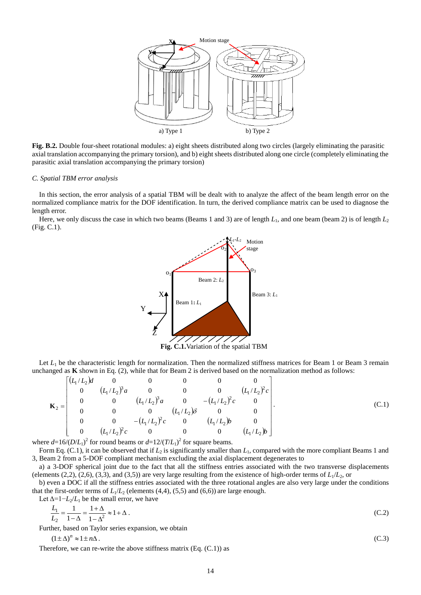

**Fig. B.2.** Double four-sheet rotational modules: a) eight sheets distributed along two circles (largely eliminating the parasitic axial translation accompanying the primary torsion), and b) eight sheets distributed along one circle (completely eliminating the parasitic axial translation accompanying the primary torsion)

### *C. Spatial TBM error analysis*

In this section, the error analysis of a spatial TBM will be dealt with to analyze the affect of the beam length error on the normalized compliance matrix for the DOF identification. In turn, the derived compliance matrix can be used to diagnose the length error.

Here, we only discuss the case in which two beams (Beams 1 and 3) are of length  $L_1$ , and one beam (beam 2) is of length  $L_2$ (Fig. C.1).



**Fig. C.1.**Variation of the spatial TBM

Let  $L_1$  be the characteristic length for normalization. Then the normalized stiffness matrices for Beam 1 or Beam 3 remain unchanged as **K** shown in Eq. (2), while that for Beam 2 is derived based on the normalization method as follows:

$$
\mathbf{K}_2 = \begin{bmatrix} (L_1/L_2)d & 0 & 0 & 0 & 0 & 0 \\ 0 & (L_1/L_2)^3a & 0 & 0 & 0 & (L_1/L_2)^2c \\ 0 & 0 & (L_1/L_2)^3a & 0 & -(L_1/L_2)^2c & 0 \\ 0 & 0 & 0 & (L_1/L_2)\delta & 0 & 0 \\ 0 & 0 & -(L_1/L_2)^2c & 0 & (L_1/L_2)b & 0 \\ 0 & (L_1/L_2)^2c & 0 & 0 & 0 & (L_1/L_2)b \end{bmatrix}.
$$
 (C.1)

where  $d=16/(D/L_1)^2$  for round beams or  $d=12/(T/L_1)^2$  for square beams.

Form Eq. (C.1), it can be observed that if  $L_2$  is significantly smaller than  $L_1$ , compared with the more compliant Beams 1 and 3, Beam 2 from a 5-DOF compliant mechanism excluding the axial displacement degenerates to

a) a 3-DOF spherical joint due to the fact that all the stiffness entries associated with the two transverse displacements (elements (2,2), (2,6), (3,3), and (3,5)) are very large resulting from the existence of high-order terms of  $L_1/L_2$ , or

b) even a DOC if all the stiffness entries associated with the three rotational angles are also very large under the conditions that the first-order terms of  $L_1/L_2$  (elements (4,4), (5,5) and (6,6)) are large enough.

Let  $\Delta = 1 - L_2/L_1$  be the small error, we have

$$
\frac{L_1}{L_2} = \frac{1}{1 - \Delta} = \frac{1 + \Delta}{1 - \Delta^2} \approx 1 + \Delta \tag{C.2}
$$

Further, based on Taylor series expansion, we obtain

 $(1 \pm \Delta)^n \approx 1 \pm n\Delta$ . (C.3)

Therefore, we can re-write the above stiffness matrix  $(Eq. (C.1))$  as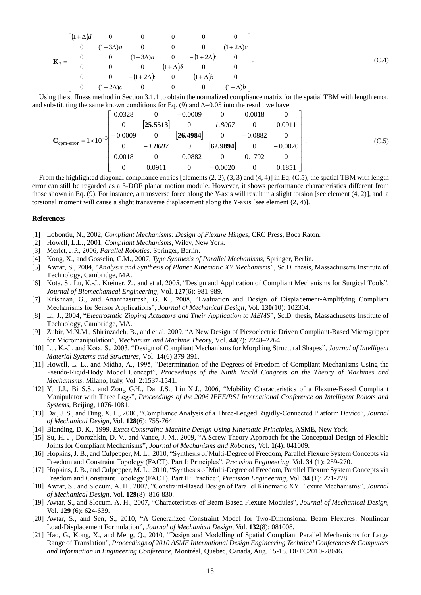$$
\mathbf{K}_{2} = \begin{bmatrix} (1+\Delta)d & 0 & 0 & 0 & 0 & 0 \\ 0 & (1+3\Delta)a & 0 & 0 & 0 & (1+2\Delta)c \\ 0 & 0 & (1+3\Delta)a & 0 & -(1+2\Delta)c & 0 \\ 0 & 0 & 0 & (1+\Delta)\delta & 0 & 0 \\ 0 & 0 & -(1+2\Delta)c & 0 & (1+\Delta)b & 0 \\ 0 & (1+2\Delta)c & 0 & 0 & 0 & (1+\Delta)b \end{bmatrix}.
$$
 (C.4)

Using the stiffness method in Section 3.1.1 to obtain the normalized compliance matrix for the spatial TBM with length error, and substituting the same known conditions for Eq. (9) and  $\Delta=0.05$  into the result, we have

$$
\mathbf{C}_{\text{cpm-error}} = 1 \times 10^{-3} \begin{bmatrix} 0.0328 & 0 & -0.0009 & 0 & 0.0018 & 0 \\ 0 & \begin{bmatrix} 25.5513 \end{bmatrix} & 0 & -1.8007 & 0 & 0.0911 \\ 0 & -1.8007 & 0 & \begin{bmatrix} 26.4984 \end{bmatrix} & 0 & -0.0882 & 0 \\ 0 & -1.8007 & 0 & \begin{bmatrix} 62.9894 \end{bmatrix} & 0 & -0.0020 \\ 0.0018 & 0 & -0.0882 & 0 & 0.1792 & 0 \\ 0 & 0.0911 & 0 & -0.0020 & 0 & 0.1851 \end{bmatrix} . \tag{C.5}
$$

From the highlighted diagonal compliance entries [elements (2, 2), (3, 3) and (4, 4)] in Eq. (C.5), the spatial TBM with length error can still be regarded as a 3-DOF planar motion module. However, it shows performance characteristics different from those shown in Eq. (9). For instance, a transverse force along the Y-axis will result in a slight torsion [see element (4, 2)], and a torsional moment will cause a slight transverse displacement along the Y-axis [see element (2, 4)].

#### **References**

- [1] Lobontiu, N., 2002, *Compliant Mechanisms: Design of Flexure Hinges*, CRC Press, Boca Raton.
- [2] Howell, L.L., 2001, *Compliant Mechanisms*, Wiley, New York.
- [3] Merlet, J.P., 2006, *Parallel Robotics*, Springer, Berlin.
- [4] Kong, X., and Gosselin, C.M., 2007, *Type Synthesis of Parallel Mechanisms*, Springer, Berlin.
- [5] Awtar, S., 2004, "*Analysis and Synthesis of Planer Kinematic XY Mechanisms*", Sc.D. thesis, Massachusetts Institute of Technology, Cambridge, MA.
- [6] Kota, S., Lu, K.-J., Kreiner, Z., and et al, 2005, ["Design and Application of Compliant Mechanisms for Surgical Tools"](http://www.engin.umich.edu/labs/csdl/papers/DesignAndAppOfCMForSurgicalTools.pdf), *Journal of Biomechanical Engineering*, Vol. **127**(6): 981-989.
- [7] Krishnan, G., and Ananthasuresh, G. K., 2008, "Evaluation and Design of Displacement-Amplifying Compliant Mechanisms for Sensor Applications", *Journal of Mechanical Design*, Vol. **130**(10): 102304.
- [8] Li, J., 2004, "*Electrostatic Zipping Actuators and Their Application to MEMS*", Sc.D. thesis, Massachusetts Institute of Technology, Cambridge, MA.
- [9] Zubir, M.N.M., Shirinzadeh, B., and et al, 2009, "A New Design of Piezoelectric Driven Compliant-Based Microgripper for Micromanipulation", *Mechanism and Machine Theory*, Vol. **44**(7): 2248–2264.
- [10] Lu, K.-J., and Kota, S., 2003, ["Design of Compliant Mechanisms for Morphing Structural Shapes"](http://www.engin.umich.edu/labs/csdl/papers/jimss03-KJLU.pdf), *Journal of Intelligent Material Systems and Structures*, Vol. **14**(6):379-391.
- [11] Howell, L. L., and Midha, A., 1995, "Determination of the Degrees of Freedom of Compliant Mechanisms Using the Pseudo-Rigid-Body Model Concept", *Proceedings of the Ninth World Congress on the Theory of Machines and Mechanisms*, Milano, Italy, Vol. 2:1537-1541.
- [12] Yu J.J., Bi S.S., and Zong G.H., Dai J.S., Liu X.J., 2006, "Mobility Characteristics of a Flexure-Based Compliant Manipulator with Three Legs", *Proceedings of the 2006 IEEE/RSJ International Conference on Intelligent Robots and Systems*, Beijing, 1076-1081.
- [13] Dai, J. S., and Ding, X. L., 2006, "Compliance Analysis of a Three-Legged Rigidly-Connected Platform Device", *Journal of Mechanical Design*, Vol. **128**(6): 755-764.
- [14] Blanding, D. K., 1999, *Exact Constraint: Machine Design Using Kinematic Principles*, ASME, New York.
- [15] Su, H.-J., Dorozhkin, D. V., and Vance, J. M., 2009, "A Screw Theory Approach for the Conceptual Design of Flexible Joints for Compliant Mechanisms", *Journal of Mechanisms and Robotics,* Vol. **1**(4): 041009.
- [16] Hopkins, J. B., and Culpepper, M. L., 2010, "Synthesis of Multi-Degree of Freedom, Parallel Flexure System Concepts via Freedom and Constraint Topology (FACT). Part I: Principles", *Precision Engineering*, Vol. **34** (1): 259-270.
- [17] Hopkins, J. B., and Culpepper, M. L., 2010, "Synthesis of Multi-Degree of Freedom, Parallel Flexure System Concepts via Freedom and Constraint Topology (FACT). Part II: Practice", *Precision Engineering*, Vol. **34** (1): 271-278.
- [18] Awtar, S., and Slocum, A. H., 2007, "Constraint-Based Design of Parallel Kinematic XY Flexure Mechanisms", *Journal of Mechanical Design*, Vol. **129**(8): 816-830.
- [19] Awtar, S., and Slocum, A. H., 2007, "Characteristics of Beam-Based Flexure Modules", *Journal of Mechanical Design*, Vol. **129** (6): 624-639.
- [20] Awtar, S., and Sen, S., 2010, "A Generalized Constraint Model for Two-Dimensional Beam Flexures: Nonlinear Load-Displacement Formulation", *Journal of Mechanical Design,* Vol. **132**(8): 081008.
- [21] Hao, G., Kong, X., and Meng, Q., 2010, "Design and Modelling of Spatial Compliant Parallel Mechanisms for Large Range of Translation", *Proceedings of 2010 ASME International Design Engineering Technical Conferences& Computers and Information in Engineering Conference,* Montréal, Québec, Canada, Aug. 15-18. DETC2010-28046.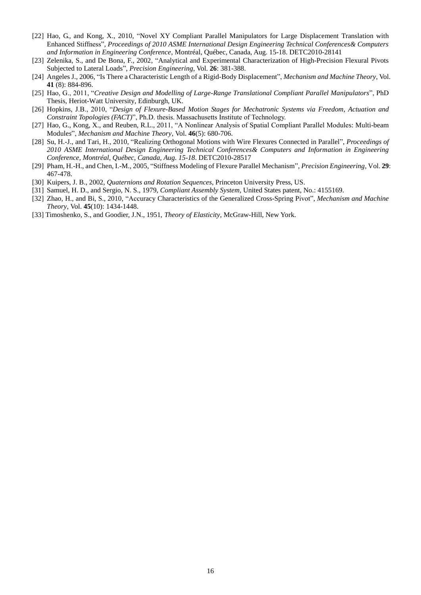- [22] Hao, G., and Kong, X., 2010, "Novel XY Compliant Parallel Manipulators for Large Displacement Translation with Enhanced Stiffness", *Proceedings of 2010 ASME International Design Engineering Technical Conferences& Computers and Information in Engineering Conference*, Montréal, Québec, Canada, Aug. 15-18. DETC2010-28141
- [23] Zelenika, S., and De Bona, F., 2002, "Analytical and Experimental Characterization of High-Precision Flexural Pivots Subjected to Lateral Loads", *Precision Engineering*, Vol. **26**: 381-388.
- [24] Angeles J., 2006, "Is There a Characteristic Length of a Rigid-Body Displacement", *Mechanism and Machine Theory*, Vol. **41** (8): 884-896.
- [25] Hao, G., 2011, "*Creative Design and Modelling of Large-Range Translational Compliant Parallel Manipulators*", PhD Thesis, Heriot-Watt University, Edinburgh, UK.
- [26] Hopkins, J.B., 2010, "*Design of Flexure-Based Motion Stages for Mechatronic Systems via Freedom, Actuation and Constraint Topologies (FACT)*", Ph.D. thesis. Massachusetts Institute of Technology.
- [27] Hao, G., Kong, X., and Reuben, R.L., 2011, "A Nonlinear Analysis of Spatial Compliant Parallel Modules: Multi-beam Module*s*", *Mechanism and Machine Theory*, Vol. **46**(5): 680-706.
- [28] Su, H.-J., and Tari, H., 2010, "Realizing Orthogonal Motions with Wire Flexures Connected in Parallel", *Proceedings of 2010 ASME International Design Engineering Technical Conferences& Computers and Information in Engineering Conference, Montréal, Québec, Canada, Aug. 15-18*. DETC2010-28517
- [29] Pham, H.-H., and Chen, I.-M., 2005, "Stiffness Modeling of Flexure Parallel Mechanism", *Precision Engineering*, Vol. **29**: 467-478.
- [30] Kuipers, J. B., 2002, *Quaternions and Rotation Sequences*[, Princeton University](http://www.tower.com/book-publisher/princeton-univ-pr) Press, US.
- [31] Samuel, H. D., and Sergio, N. S., 1979, *Compliant Assembly System*, United States patent, No.: 4155169.
- [32] Zhao, H., and Bi, S., 2010, "Accuracy Characteristics of the Generalized Cross-Spring Pivot", *Mechanism and Machine Theory*, Vol. **45**(10): 1434-1448.
- [33] Timoshenko, S., and Goodier, J.N., 1951, *Theory of Elasticity*, McGraw-Hill, New York.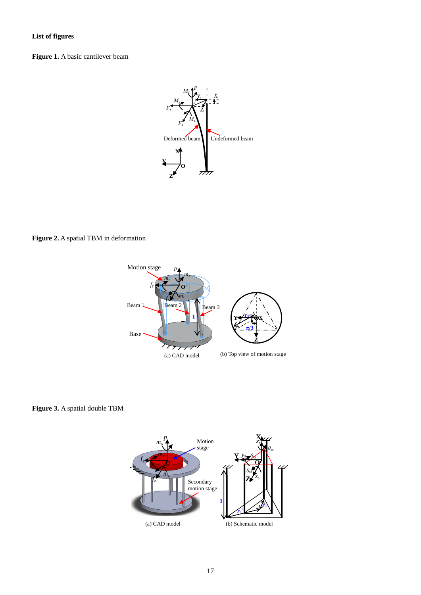# **List of figures**

**Figure 1.** A basic cantilever beam



**Figure 2.** A spatial TBM in deformation



**Figure 3.** A spatial double TBM

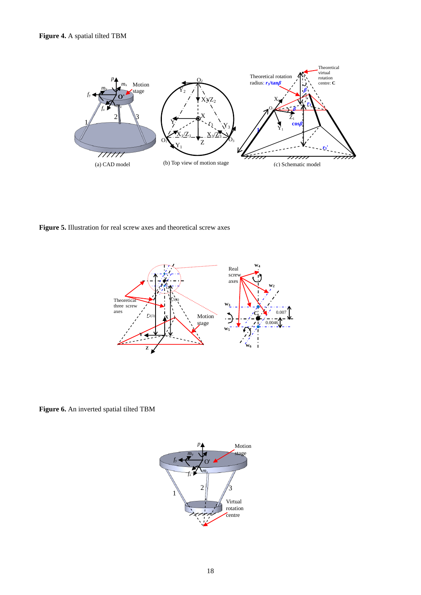

**Figure 5.** Illustration for real screw axes and theoretical screw axes



**Figure 6.** An inverted spatial tilted TBM

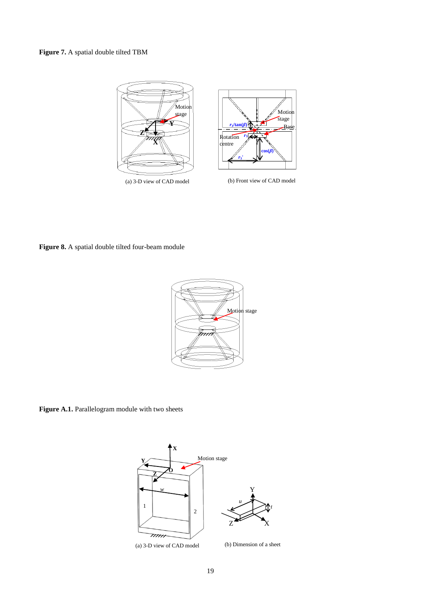## **Figure 7.** A spatial double tilted TBM



**Figure 8.** A spatial double tilted four-beam module



Figure A.1. Parallelogram module with two sheets